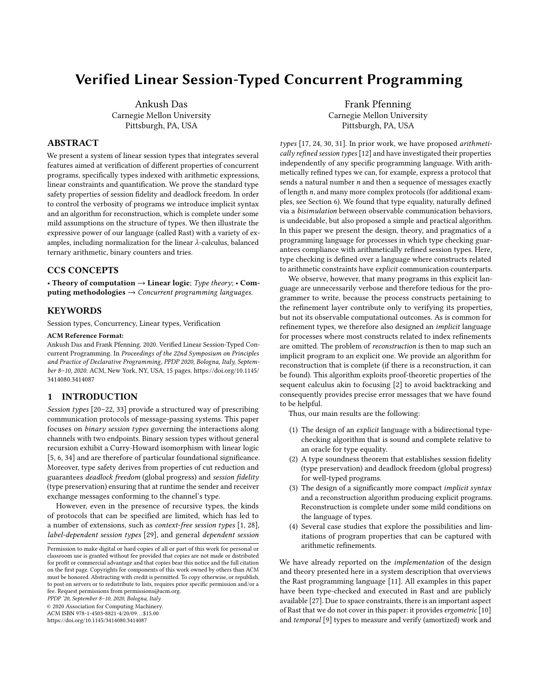# Verified Linear Session-Typed Concurrent Programming

Ankush Das Carnegie Mellon University Pittsburgh, PA, USA

# ABSTRACT

We present a system of linear session types that integrates several features aimed at verification of different properties of concurrent programs, specifically types indexed with arithmetic expressions, linear constraints and quantification. We prove the standard type safety properties of session fidelity and deadlock freedom. In order to control the verbosity of programs we introduce implicit syntax and an algorithm for reconstruction, which is complete under some mild assumptions on the structure of types. We then illustrate the expressive power of our language (called Rast) with a variety of examples, including normalization for the linear λ-calculus, balanced ternary arithmetic, binary counters and tries.

# CCS CONCEPTS

• Theory of computation  $\rightarrow$  Linear logic; Type theory; • Computing methodologies  $\rightarrow$  Concurrent programming languages.

#### **KEYWORDS**

Session types, Concurrency, Linear types, Verification

#### ACM Reference Format:

Ankush Das and Frank Pfenning. 2020. Verified Linear Session-Typed Concurrent Programming. In Proceedings of the 22nd Symposium on Principles and Practice of Declarative Programming, PPDP 2020, Bologna, Italy, September 8–10, 2020. ACM, New York, NY, USA, [15](#page-14-0) pages. [https://doi.org/10.1145/](https://doi.org/10.1145/3414080.3414087) [3414080.3414087](https://doi.org/10.1145/3414080.3414087)

# 1 INTRODUCTION

Session types [\[20–](#page-13-0)[22,](#page-14-1) [33\]](#page-14-2) provide a structured way of prescribing communication protocols of message-passing systems. This paper focuses on binary session types governing the interactions along channels with two endpoints. Binary session types without general recursion exhibit a Curry-Howard isomorphism with linear logic [\[5,](#page-13-1) [6,](#page-13-2) [34\]](#page-14-3) and are therefore of particular foundational significance. Moreover, type safety derives from properties of cut reduction and guarantees deadlock freedom (global progress) and session fidelity (type preservation) ensuring that at runtime the sender and receiver exchange messages conforming to the channel's type.

However, even in the presence of recursive types, the kinds of protocols that can be specified are limited, which has led to a number of extensions, such as context-free session types [\[1,](#page-13-3) [28\]](#page-14-4), label-dependent session types [\[29\]](#page-14-5), and general dependent session

PPDP '20, September 8–10, 2020, Bologna, Italy

© 2020 Association for Computing Machinery.

ACM ISBN 978-1-4503-8821-4/20/09. . . \$15.00

<https://doi.org/10.1145/3414080.3414087>

Frank Pfenning Carnegie Mellon University Pittsburgh, PA, USA

types [\[17,](#page-13-4) [24,](#page-14-6) [30,](#page-14-7) [31\]](#page-14-8). In prior work, we have proposed arithmetically refined session types [\[12\]](#page-13-5) and have investigated their properties independently of any specific programming language. With arithmetically refined types we can, for example, express a protocol that sends a natural number  $n$  and then a sequence of messages exactly of length n, and many more complex protocols (for additional examples, see Section [6\)](#page-9-0). We found that type equality, naturally defined via a bisimulation between observable communication behaviors, is undecidable, but also proposed a simple and practical algorithm. In this paper we present the design, theory, and pragmatics of a programming language for processes in which type checking guarantees compliance with arithmetically refined session types. Here, type checking is defined over a language where constructs related to arithmetic constraints have explicit communication counterparts.

We observe, however, that many programs in this explicit language are unnecessarily verbose and therefore tedious for the programmer to write, because the process constructs pertaining to the refinement layer contribute only to verifying its properties, but not its observable computational outcomes. As is common for refinement types, we therefore also designed an implicit language for processes where most constructs related to index refinements are omitted. The problem of reconstruction is then to map such an implicit program to an explicit one. We provide an algorithm for reconstruction that is complete (if there is a reconstruction, it can be found). This algorithm exploits proof-theoretic properties of the sequent calculus akin to focusing [\[2\]](#page-13-6) to avoid backtracking and consequently provides precise error messages that we have found to be helpful.

Thus, our main results are the following:

- (1) The design of an explicit language with a bidirectional typechecking algorithm that is sound and complete relative to an oracle for type equality.
- (2) A type soundness theorem that establishes session fidelity (type preservation) and deadlock freedom (global progress) for well-typed programs.
- (3) The design of a significantly more compact implicit syntax and a reconstruction algorithm producing explicit programs. Reconstruction is complete under some mild conditions on the language of types.
- (4) Several case studies that explore the possibilities and limitations of program properties that can be captured with arithmetic refinements.

We have already reported on the implementation of the design and theory presented here in a system description that overviews the Rast programming language [\[11\]](#page-13-7). All examples in this paper have been type-checked and executed in Rast and are publicly available [\[27\]](#page-14-9). Due to space constraints, there is an important aspect of Rast that we do not cover in this paper: it provides ergometric [\[10\]](#page-13-8) and temporal [\[9\]](#page-13-9) types to measure and verify (amortized) work and

Permission to make digital or hard copies of all or part of this work for personal or classroom use is granted without fee provided that copies are not made or distributed for profit or commercial advantage and that copies bear this notice and the full citation on the first page. Copyrights for components of this work owned by others than ACM must be honored. Abstracting with credit is permitted. To copy otherwise, or republish, to post on servers or to redistribute to lists, requires prior specific permission and/or a fee. Request permissions from permissions@acm.org.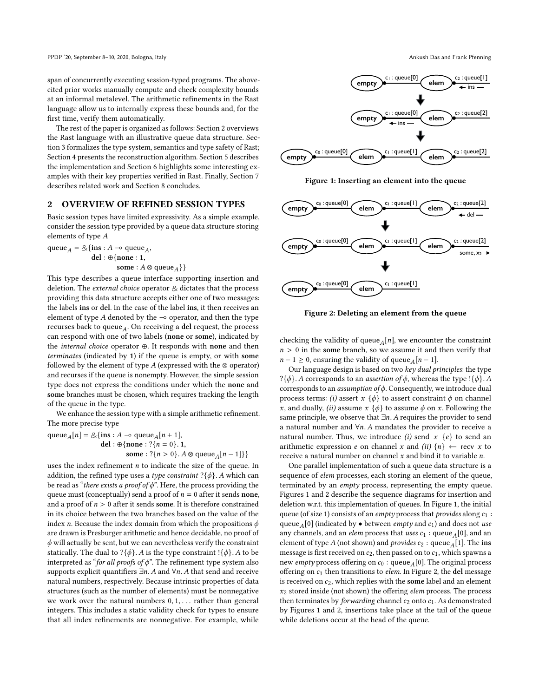PPDP '20, September 8-10, 2020, Bologna, Italy Ankush Das and Frank Pfenning

span of concurrently executing session-typed programs. The abovecited prior works manually compute and check complexity bounds at an informal metalevel. The arithmetic refinements in the Rast language allow us to internally express these bounds and, for the first time, verify them automatically.

The rest of the paper is organized as follows: Section [2](#page-1-0) overviews the Rast language with an illustrative queue data structure. Section [3](#page-2-0) formalizes the type system, semantics and type safety of Rast; Section [4](#page-6-0) presents the reconstruction algorithm. Section [5](#page-8-0) describes the implementation and Section [6](#page-9-0) highlights some interesting examples with their key properties verified in Rast. Finally, Section [7](#page-12-0) describes related work and Section [8](#page-13-10) concludes.

#### <span id="page-1-0"></span>2 OVERVIEW OF REFINED SESSION TYPES

Basic session types have limited expressivity. As a simple example, consider the session type provided by a queue data structure storing elements of type A

queue<sub>A</sub> =  $\&$ {ins : A ⊸ queue<sub>A</sub>,<br>del : ⊕{none : 1 del : ⊕{none : <sup>1</sup>, some :  $A \otimes$  queue<sub>A</sub>}}

This type describes a queue interface supporting insertion and deletion. The *external choice* operator  $\&$  dictates that the process providing this data structure accepts either one of two messages: the labels ins or del. In the case of the label ins, it then receives an element of type A denoted by the  $\sim$  operator, and then the type recurses back to queue<sub>A</sub>. On receiving a del request, the process<br>can respond with one of two labels (none or some) indicated by can respond with one of two labels (none or some), indicated by the internal choice operator ⊕. It responds with none and then terminates (indicated by 1) if the queue is empty, or with some followed by the element of type  $A$  (expressed with the  $\otimes$  operator) and recurses if the queue is nonempty. However, the simple session type does not express the conditions under which the none and some branches must be chosen, which requires tracking the length of the queue in the type.

We enhance the session type with a simple arithmetic refinement. The more precise type

queue<sub>A</sub>[n] =  $\&$ {ins : A ⊸ queue<sub>A</sub>[n + 1],<br>del : ⊕{none : ?{n = 0} 1 del : ⊕{none : ?{ $n = 0$ }. 1, some : ?{ $n > 0$ }.  $A \otimes$  queue<sub>A</sub>[ $n - 1$ ]}}

uses the index refinement  $n$  to indicate the size of the queue. In addition, the refined type uses a type constraint  $?$ { $\phi$ }. A which can be read as "there exists a proof of  $\phi$ ". Here, the process providing the queue must (conceptually) send a proof of  $n = 0$  after it sends none, and a proof of  $n > 0$  after it sends some. It is therefore constrained in its choice between the two branches based on the value of the index *n*. Because the index domain from which the propositions  $\phi$ are drawn is Presburger arithmetic and hence decidable, no proof of  $\phi$  will actually be sent, but we can nevertheless verify the constraint statically. The dual to ?{ $\phi$ }. A is the type constraint !{ $\phi$ }. A to be interpreted as "for all proofs of  $\phi$ ". The refinement type system also supports explicit quantifiers  $\exists n. A$  and  $\forall n. A$  that send and receive natural numbers, respectively. Because intrinsic properties of data structures (such as the number of elements) must be nonnegative we work over the natural numbers  $0, 1, \ldots$  rather than general integers. This includes a static validity check for types to ensure that all index refinements are nonnegative. For example, while



<span id="page-1-1"></span>

Figure 1: Inserting an element into the queue

<span id="page-1-2"></span>

Figure 2: Deleting an element from the queue

checking the validity of queue<sub>A</sub>[n], we encounter the constraint  $n > 0$  in the some branch, so we assume it and then verify that  $n > 0$  in the some branch, so we assume it and then verify that  $n - 1 \ge 0$ , ensuring the validity of queue<sub>A</sub>[ $n - 1$ ].<br>Our language design is based on two key dual m

Our language design is based on two key dual principles: the type  $?$ { $\phi$ }. A corresponds to an *assertion of*  $\phi$ , whereas the type !{ $\phi$ }. A corresponds to an *assumption of*  $\phi$ . Consequently, we introduce dual process terms: (i) assert x  $\{\phi\}$  to assert constraint  $\phi$  on channel x, and dually, (ii) assume  $x \{\phi\}$  to assume  $\phi$  on x. Following the same principle, we observe that ∃n. A requires the provider to send a natural number and  $\forall n$ . A mandates the provider to receive a natural number. Thus, we introduce (i) send x  $\{e\}$  to send an arithmetic expression e on channel x and (ii)  ${n} \leftarrow$  recv x to receive a natural number on channel  $x$  and bind it to variable  $n$ .

One parallel implementation of such a queue data structure is a sequence of elem processes, each storing an element of the queue, terminated by an empty process, representing the empty queue. Figures [1](#page-1-1) and [2](#page-1-2) describe the sequence diagrams for insertion and deletion w.r.t. this implementation of queues. In Figure [1,](#page-1-1) the initial queue (of size 1) consists of an empty process that provides along  $c_1$ : queue<sub>A</sub>[0] (indicated by  $\bullet$  between *empty* and  $c_1$ ) and does not use<br>any channels, and an *elem* process that uses  $c_1$ ; queue, [0], and an any channels, and an *elem* process that uses  $c_1$ : queue<sub>A</sub>[0], and an element of type A (not shown) and *provides*  $c_2$ : queue  $\sqrt{11}$ . The ins element of type A (not shown) and *provides*  $c_2$ : queue<sub>A</sub>[1]. The ins message is first received on  $c_2$ , then passed on to  $c_1$ , which spawns a new *empty* process offering on  $c_0$ : queue<sub>A</sub>[0]. The original process<br>offering on  $c_1$ , then transitions to *elem*. In Figure 2, the **del** message offering on  $c_1$  then transitions to *elem*. In Figure [2,](#page-1-2) the del message is received on  $c_2$ , which replies with the some label and an element  $x_2$  stored inside (not shown) the offering elem process. The process then terminates by *forwarding* channel  $c_2$  onto  $c_1$ . As demonstrated by Figures [1](#page-1-1) and [2,](#page-1-2) insertions take place at the tail of the queue while deletions occur at the head of the queue.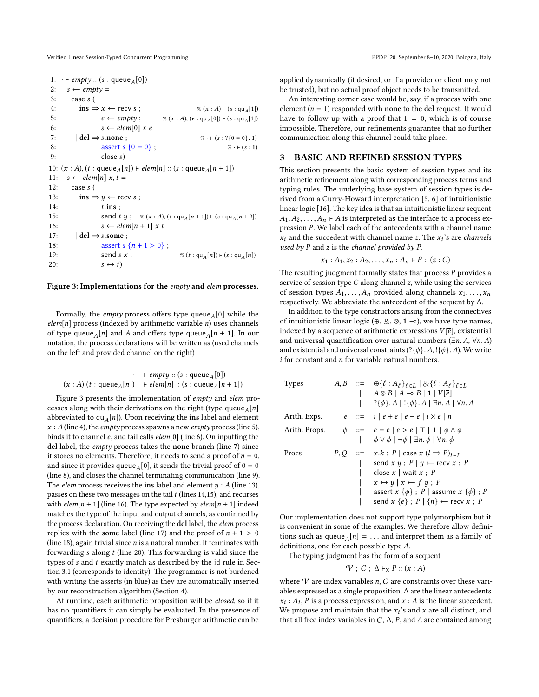<span id="page-2-7"></span><span id="page-2-5"></span><span id="page-2-4"></span><span id="page-2-3"></span><span id="page-2-2"></span><span id="page-2-1"></span>1:  $\cdot \vdash empty :: (s : queue_A[0])$ <br>2.  $s \leftarrow empty =$ 2:  $s \leftarrow \text{empty} =$ 3: case s ( 4:  $\text{ins} \Rightarrow x \leftarrow \text{recv} s$ ; <br>5:  $e \leftarrow \text{empty};$  <br>  $\% (x : A) \left( e : \text{qu}_{A}[0] \right) \vdash (s : \text{qu}_{A}[1])$ 5:  $e \leftarrow empty$ ;  $\% (x : A), (e : qu_A[0]) \leftarrow (s : qu_A[1])$ <br>6:  $s \leftarrow elem[0] \times e$  $s \leftarrow \text{elem}[0] \times e$ 7:  $|\text{del} \Rightarrow \text{s.none}$ ;  $\text{as} \times \text{c} + (\text{s} : ? \{0 = 0, 1\})$ <br>8:  $\text{as} \times \text{c} + (\text{s} : 1)$ 8: assert  $s \{0 = 0\}$ ;<br>9.  $\csc s$ 9: close s) 10:  $(x : A)$ ,  $(t : queue_A[n]) \vdash elem[n]$  ::  $(s : queue_A[n + 1])$ <br>11:  $s \leftarrow elem[n] \times t =$ 11:  $s \leftarrow elem[n] x, t =$ <br>12: case s ( case s ( 13:  $\text{ins} \Rightarrow y \leftarrow \text{recv } s$ ; 14:  $t.\text{ins}$ ;<br>15:  $\begin{array}{ccc} \text{send } t \end{array}$ 15: send t y ; % (x : A), (t : qu<sub>A</sub>[n + 1]) ⊢ (s : qu<sub>A</sub>[n + 2])<br>16:  $s \leftarrow elem[n + 1] x t$  $s \leftarrow elem[n+1] \times t$ 17:  $| \text{ del } \Rightarrow s.\text{some };$ <br>18:  $\qquad \qquad$  assert s 18: assert s { $n + 1 > 0$ };<br>19: send s x; 19: send s x ;  $\% (t : qu_A[n]) \vdash (s : qu_A[n])$ <br>20:  $s \leftrightarrow t$  $s \leftrightarrow t$ 

#### <span id="page-2-14"></span><span id="page-2-12"></span><span id="page-2-10"></span><span id="page-2-9"></span>Figure 3: Implementations for the empty and elem processes.

Formally, the *empty* process offers type queue<sub>A</sub>[0] while the m[n] process (indexed by arithmetic variable n) uses channels  $elem[n]$  process (indexed by arithmetic variable *n*) uses channels of type queue<sub>A</sub>[n] and A and offers type queue<sub>A</sub>[n + 1]. In our notation the process declarations will be written as (used channels) notation, the process declarations will be written as (used channels on the left and provided channel on the right)

$$
\begin{array}{cc}\n & +\text{empty}::(s:\text{queue}_A[0])\\
 (x:A)\ (t:\text{queue}_A[n]) & +\text{elem}[n]::(s:\text{queue}_A[n+1])\n \end{array}
$$

Figure [3](#page-2-1) presents the implementation of empty and elem processes along with their derivations on the right (type queue $\overline{A}[n]$ <br>abbreviated to qu<sub>e</sub>[n]). Upon receiving the ins label and element abbreviated to qu<sub>A</sub>[n]). Upon receiving the ins label and element  $x : A$  (line 4) the empty process spawns a new empty process (line 5)  $x : A$  (line [4\)](#page-2-2), the *empty* process spawns a new *empty* process (line [5\)](#page-2-3), binds it to channel e, and tail calls elem[0] (line [6\)](#page-2-4). On inputting the del label, the empty process takes the none branch (line [7\)](#page-2-5) since it stores no elements. Therefore, it needs to send a proof of  $n = 0$ , and since it provides queue<sub>A</sub>[0], it sends the trivial proof of  $0 = 0$ <br>(line 8) and closes the channel terminating communication (line 9) (line [8\)](#page-2-6), and closes the channel terminating communication (line [9\)](#page-2-7). The *elem* process receives the ins label and element  $y : A$  (line [13\)](#page-2-8), passes on these two messages on the tail  $t$  (lines [14,](#page-2-9)[15\)](#page-2-10), and recurses with  $elem[n + 1]$  (line [16\)](#page-2-11). The type expected by  $elem[n + 1]$  indeed matches the type of the input and output channels, as confirmed by the process declaration. On receiving the del label, the elem process replies with the some label (line [17\)](#page-2-12) and the proof of  $n + 1 > 0$ (line [18\)](#page-2-13), again trivial since  $n$  is a natural number. It terminates with forwarding  $s$  along  $t$  (line [20\)](#page-2-14). This forwarding is valid since the types of  $s$  and  $t$  exactly match as described by the id rule in Section [3.1](#page-3-0) (corresponds to identity). The programmer is not burdened with writing the asserts (in blue) as they are automatically inserted by our reconstruction algorithm (Section [4\)](#page-6-0).

At runtime, each arithmetic proposition will be closed, so if it has no quantifiers it can simply be evaluated. In the presence of quantifiers, a decision procedure for Presburger arithmetic can be

applied dynamically (if desired, or if a provider or client may not be trusted), but no actual proof object needs to be transmitted.

An interesting corner case would be, say, if a process with one element ( $n = 1$ ) responded with none to the del request. It would have to follow up with a proof that  $1 = 0$ , which is of course impossible. Therefore, our refinements guarantee that no further communication along this channel could take place.

#### <span id="page-2-6"></span><span id="page-2-0"></span>3 BASIC AND REFINED SESSION TYPES

<span id="page-2-8"></span>This section presents the basic system of session types and its arithmetic refinement along with corresponding process terms and typing rules. The underlying base system of session types is derived from a Curry-Howard interpretation [\[5,](#page-13-1) [6\]](#page-13-2) of intuitionistic linear logic [\[16\]](#page-13-11). The key idea is that an intuitionistic linear sequent  $A_1, A_2, \ldots, A_n \vdash A$  is interpreted as the interface to a process expression P. We label each of the antecedents with a channel name  $\hat{x}_i$  and the succedent with channel name z. The  $x_i$ 's are channels used by  $P$  and  $z$  is the channel provided by  $P$ .

$$
x_1 : A_1, x_2 : A_2, ..., x_n : A_n \vdash P :: (z : C)
$$

<span id="page-2-13"></span><span id="page-2-11"></span>The resulting judgment formally states that process  $P$  provides a service of session type  $C$  along channel  $z$ , while using the services of session types  $A_1, \ldots, A_n$  provided along channels  $x_1, \ldots, x_n$ respectively. We abbreviate the antecedent of the sequent by ∆.

In addition to the type constructors arising from the connectives of intuitionistic linear logic (⊕,  $\&$ , ⊗, 1 ⊸), we have type names, indexed by a sequence of arithmetic expressions  $V[\overline{e}]$ , existential and universal quantification over natural numbers ( $\exists n.A, \forall n.A$ ) and existential and universal constraints  $(?\{\phi\}$ . A,  $\{\phi\}$ . A). We write  $i$  for constant and  $n$  for variable natural numbers.

| <b>Types</b>  |  | $A, B ::= \oplus \{\ell : A_{\ell}\}_{\ell \in I} \mid \& \{\ell : A_{\ell}\}_{\ell \in I}$<br>$A \otimes B \mid A \multimap B \mid 1 \mid V[\overline{e}]$<br>$?\{\phi\}.A \mid \{\phi\}.A \mid \exists n.A \mid \forall n.A$                                                                                          |
|---------------|--|-------------------------------------------------------------------------------------------------------------------------------------------------------------------------------------------------------------------------------------------------------------------------------------------------------------------------|
| Arith. Exps.  |  | $e ::= i   e + e   e - e   i \times e   n$                                                                                                                                                                                                                                                                              |
| Arith. Props. |  | $\phi$ ::= $e = e \mid e > e \mid \top \mid \bot \mid \phi \wedge \phi$<br>$\phi \vee \phi \mid \neg \phi \mid \exists n. \phi \mid \forall n. \phi$                                                                                                                                                                    |
| Procs         |  | $P, Q$ ::= $x.k$ ; $P   \text{case } x (l \Rightarrow P)_{l \in L}$<br>send x y ; $P \mid y \leftarrow$ recv x ; P<br>close $x \mid$ wait $x : P$<br>$x \leftrightarrow y \mid x \leftarrow f y$ ; P<br>assert $x \{\phi\}$ ; $P$   assume $x \{\phi\}$ ; $P$<br>send $x \{e\}$ ; $P   \{n\} \leftarrow$ recv $x$ ; $P$ |

Our implementation does not support type polymorphism but it is convenient in some of the examples. We therefore allow definitions such as queue<sub>A</sub>[n] = ... and interpret them as a family of definitions one for each possible type A definitions, one for each possible type A.

The typing judgment has the form of a sequent

$$
\mathcal{V} \; ; \; C \; ; \; \Delta \vdash_{\Sigma} P :: (x : A)
$$

where  $\mathcal V$  are index variables n,  $\mathcal C$  are constraints over these variables expressed as a single proposition, ∆ are the linear antecedents  $x_i$ :  $A_i$ ,  $\overline{P}$  is a process expression, and  $x : A$  is the linear succedent. We propose and maintain that the  $x_i$ 's and x are all distinct, and that all free index variables in  $C_A \overset{\circ}{P}$  and 4 are contained among that all free index variables in  $C$ ,  $\Delta$ ,  $P$ , and  $A$  are contained among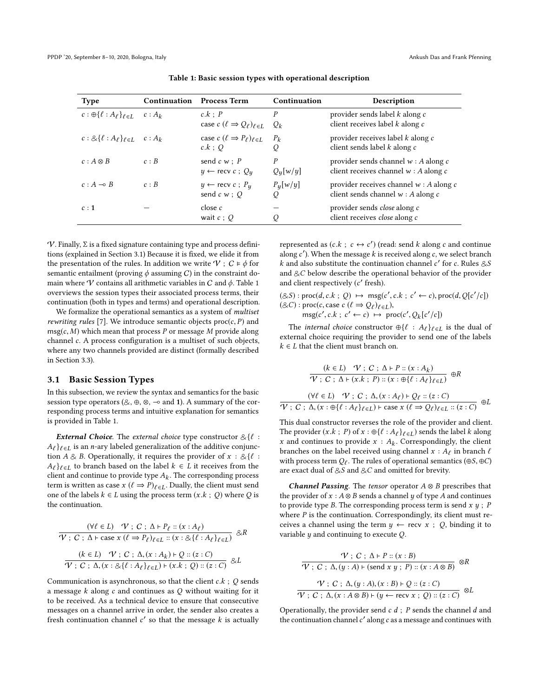<span id="page-3-1"></span>

| <b>Type</b>                                                 | Continuation | <b>Process Term</b>                                                     | Continuation                   | Description                                                                         |
|-------------------------------------------------------------|--------------|-------------------------------------------------------------------------|--------------------------------|-------------------------------------------------------------------------------------|
| $c: \bigoplus \{\ell : A_{\ell}\}_{\ell \in I}$             | $c: A_k$     | $c.k$ : $P$<br>case $c$ ( $\ell \Rightarrow Q_{\ell}$ ) $_{\ell \in L}$ | $\boldsymbol{P}$<br>$Q_k$      | provider sends label k along c<br>client receives label $k$ along $c$               |
| $c: \mathcal{Q}\{\ell : A_{\ell}\}_{\ell \in I}$ $c: A_{k}$ |              | case $c$ $(\ell \Rightarrow P_{\ell})_{\ell \in I}$<br>$c.k$ : O        | $P_{k}$<br>Q                   | provider receives label $k$ along $c$<br>client sends label $k$ along $c$           |
| $c: A \otimes B$                                            | c : B        | send $c w : P$<br>$y \leftarrow$ recv $c : Q_u$                         | $\boldsymbol{P}$<br>$Q_y[w/y]$ | provider sends channel $w : A$ along c<br>client receives channel $w : A$ along c   |
| $c: A \rightarrow B$                                        | c : B        | $y \leftarrow$ recv $c$ ; $P_u$<br>send $c w$ ; $Q$                     | $P_y[w/y]$<br>O                | provider receives channel $w : A$ along $c$<br>client sends channel $w : A$ along c |
| c:1                                                         |              | close c<br>wait $c: Q$                                                  | Q                              | provider sends <i>close</i> along c<br>client receives <i>close</i> along c         |

Table 1: Basic session types with operational description

 $\mathcal V$ . Finally,  $\Sigma$  is a fixed signature containing type and process definitions (explained in Section [3.1\)](#page-3-0) Because it is fixed, we elide it from the presentation of the rules. In addition we write  $\mathcal{V}$  ;  $C \models \phi$  for semantic entailment (proving  $\phi$  assuming C) in the constraint domain where  $\mathcal V$  contains all arithmetic variables in  $\mathcal C$  and  $\phi$ . Table [1](#page-3-1) overviews the session types their associated process terms, their continuation (both in types and terms) and operational description.

We formalize the operational semantics as a system of multiset *rewriting rules* [\[7\]](#page-13-12). We introduce semantic objects  $proc(c, P)$  and  $msg(c, M)$  which mean that process P or message M provide along channel c. A process configuration is a multiset of such objects, where any two channels provided are distinct (formally described in Section [3.3\)](#page-6-1).

### <span id="page-3-0"></span>3.1 Basic Session Types

In this subsection, we review the syntax and semantics for the basic session type operators ( $\&$ ,  $\oplus$ ,  $\otimes$ ,  $\multimap$  and 1). A summary of the corresponding process terms and intuitive explanation for semantics is provided in Table [1.](#page-3-1)

**External Choice**. The external choice type constructor  $\&\{\ell\}$ :  $A_{\ell}$ <sub> $\ell \in L$ </sub> is an *n*-ary labeled generalization of the additive conjunction  $A \& B$ . Operationally, it requires the provider of  $x : \& \{l :$  $A_{\ell}$ <sub> $\{\ell \in L\}$ </sub> to branch based on the label  $k \in L$  it receives from the client and continue to provide type  $A_k$ . The corresponding process<br>term is written as case  $x$  ( $\ell \rightarrow P_{k}$ , bually the client must send term is written as case  $x$  ( $\ell \Rightarrow P$ ) $_{\ell \in L}$ . Dually, the client must send one of the labels  $k \in L$  using the process term  $(x.k ; Q)$  where Q is the continuation.

$$
\frac{(\forall \ell \in L) \quad \mathcal{V} \; ; \; C \; ; \; \Delta \vdash P_{\ell} :: (x : A_{\ell})}{\mathcal{V} \; ; \; C \; ; \; \Delta \vdash \text{case } x \; (\ell \Rightarrow P_{\ell})_{\ell \in L} :: (x : \otimes \{\ell : A_{\ell}\}_{\ell \in L})} \; \otimes R
$$
\n
$$
\frac{(k \in L) \quad \mathcal{V} \; ; \; C \; ; \; \Delta, (x : A_{k}) \vdash Q :: (z : C)}{\mathcal{V} \; ; \; C \; ; \; \Delta, (x : \otimes \{\ell : A_{\ell}\}_{\ell \in L}) \vdash (x.k \; ; \; Q) :: (z : C)} \; \otimes L
$$

Communication is asynchronous, so that the client  $c.k$ ;  $Q$  sends a message  $k$  along  $c$  and continues as  $Q$  without waiting for it to be received. As a technical device to ensure that consecutive messages on a channel arrive in order, the sender also creates a fresh continuation channel  $c'$  so that the message  $k$  is actually represented as  $(c.k; c \leftrightarrow c')$  (read: send k along c and continue<br>along c'). When the massage k is received along c, we select branch along  $c'$ ). When the message  $k$  is received along  $c$ , we select branch k and also substitute the continuation channel  $c'$  for c. Rules  $&8,8$ and  $&C$  below describe the operational behavior of the provider and client respectively (c' fresh).

 $(\mathcal{S} \mathcal{S}) : \text{proc}(d, c, k; Q) \mapsto \text{msg}(c', c, k; c' \leftarrow c), \text{proc}(d, Q[c'/c])$  $(\&C)$ : proc(c, case c  $(\ell \Rightarrow Q_{\ell})_{\ell \in L}$ ),<br>msg(c' c k : c'  $\leftarrow$  c)  $\mapsto$  pro

 $\text{msg}(c', c.k ; c' \leftarrow c) \mapsto \text{proc}(c', Q_k[c'/c])$ 

The *internal choice* constructor  $\bigoplus \{ \ell : A_{\ell} \}_{\ell \in L}$  is the dual of external choice requiring the provider to send one of the labels  $k \in L$  that the client must branch on.

$$
\frac{(k \in L) \quad \mathcal{V} \,;\, C \,;\, \Delta \vdash P :: (x : A_k)}{\mathcal{V} \,;\, C \,;\, \Delta \vdash (x.k \,;\, P) :: (x : \oplus \{\ell : A_{\ell}\}_{\ell \in L})} \quad \oplus R
$$
\n
$$
\frac{(\forall \ell \in L) \quad \mathcal{V} \,;\, C \,;\, \Delta, (x : A_{\ell}) \vdash Q_{\ell} :: (z : C)}{\mathcal{V} \,;\, C \,;\, \Delta, (x : \oplus \{\ell : A_{\ell}\}_{\ell \in L}) \vdash \text{case } x (\ell \Rightarrow Q_{\ell})_{\ell \in L} :: (z : C)} \quad \oplus L
$$

This dual constructor reverses the role of the provider and client. The provider  $(x.k : P)$  of  $x : \bigoplus \{\ell : A_{\ell}\}_{\ell \in L}$  sends the label k along x and continues to provide  $x : A_k$ . Correspondingly, the client branches on the label received using channel  $x : A_k$  in branch  $\ell$ branches on the label received using channel  $x : A_\ell$  in branch  $\ell$ <br>with process term  $Q_\ell$ . The rules of operational semantics ( $\alpha S$ ,  $\alpha C$ ) with process term  $Q_{\ell}$ . The rules of operational semantics (⊕S, ⊕C)<br>are exact dual of 8.8 and 8.C and omitted for brevity. are exact dual of  $\& S$  and  $\& C$  and omitted for brevity.

**Channel Passing**. The tensor operator  $A \otimes B$  prescribes that the provider of  $x : A \otimes B$  sends a channel  $y$  of type  $A$  and continues to provide type B. The corresponding process term is send  $x, y$ ; P where  $P$  is the continuation. Correspondingly, its client must receives a channel using the term  $y \leftarrow$  recv  $x \cdot Q$ , binding it to variable  $y$  and continuing to execute  $Q$ .

$$
\frac{\mathcal{V}: C: \Delta \vdash P :: (x:B)}{\mathcal{V}: C: \Delta, (y:A) \vdash (\text{send } x \ y \ ; \ P) :: (x:A \otimes B)} \otimes R
$$
\n
$$
\frac{\mathcal{V}: C: \Delta, (y:A), (x:B) \vdash Q :: (z:C)}{\mathcal{V}: C: \Delta, (x:A \otimes B) \vdash (y \leftarrow \text{recv } x \ ; \ Q) :: (z:C)} \otimes L
$$

Operationally, the provider send  $c$  d ;  $P$  sends the channel  $d$  and the continuation channel  $c'$  along  $c$  as a message and continues with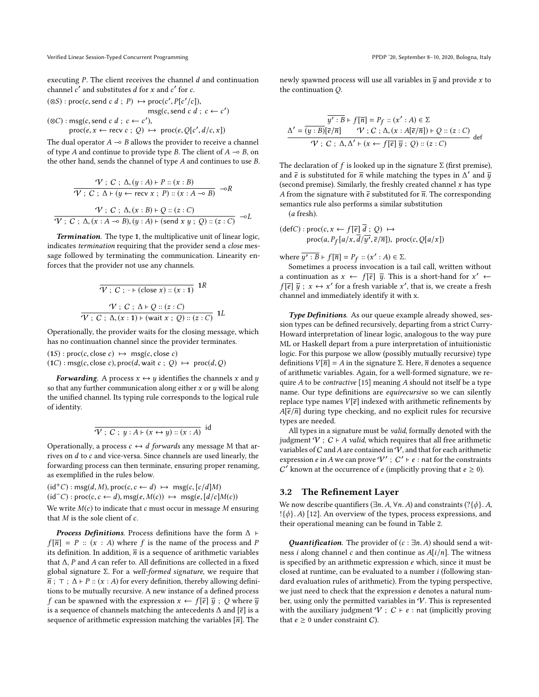executing  $P$ . The client receives the channel  $d$  and continuation channel  $c'$  and substitutes  $d$  for  $x$  and  $c'$  for  $c$ .

$$
(\otimes S)
$$
: proc(c, send c d; P)  $\mapsto$  proc(c', P[c'/c]),  
\n
$$
msg(c, send c d; c \leftarrow c')
$$
\n $(\otimes C)$ : msg(c, send c d; c \leftarrow c').  
\n
$$
rcc(e, x \leftarrow rev(c; O) \mapsto rcc(e, O[c' d(c x])
$$

 $\text{proc}(e, x \leftarrow \text{recv } c \, ; \, Q) \mapsto \text{proc}(e, Q[c', d/c, x])$ 

The dual operator  $A \rightarrow B$  allows the provider to receive a channel of type A and continue to provide type B. The client of  $A \rightarrow B$ , on the other hand, sends the channel of type A and continues to use B.

$$
\frac{\mathcal{V}: C: \Delta, (y:A) \vdash P :: (x:B)}{\mathcal{V}: C: \Delta \vdash (y \leftarrow \text{recv } x: P) :: (x:A \multimap B)} \neg R}
$$
\n
$$
\frac{\mathcal{V}: C: \Delta, (x:B) \vdash Q :: (z:C)}{\mathcal{V}: C: \Delta, (x:A \multimap B), (y:A) \vdash (\text{send } x \ y: Q) :: (z:C)} \neg L
$$

Termination. The type 1, the multiplicative unit of linear logic, indicates termination requiring that the provider send a close message followed by terminating the communication. Linearity enforces that the provider not use any channels.

$$
\overline{\mathcal{V}: C: \cdot \vdash (\text{close } x) :: (x:1)} \quad 1R
$$
\n
$$
\mathcal{V}: C: \Delta \vdash Q :: (z:C)
$$
\n
$$
\overline{\mathcal{V}: C: \Delta, (x:1) \vdash (\text{wait } x: Q) :: (z:C)} \quad 1L
$$

Operationally, the provider waits for the closing message, which has no continuation channel since the provider terminates.

 $(1S)$ : proc $(c, close c) \mapsto msg(c, close c)$  $(1C)$ : msg(c, close c), proc(d, wait c; Q)  $\mapsto$  proc(d, Q)

**Forwarding.** A process  $x \leftrightarrow y$  identifies the channels x and y so that any further communication along either  $x$  or  $y$  will be along the unified channel. Its typing rule corresponds to the logical rule of identity.

$$
\overline{\mathcal{V}: C: y: A \vdash (x \leftrightarrow y) :: (x : A)}
$$
 id

Operationally, a process  $c \leftrightarrow d$  forwards any message M that arrives on d to c and vice-versa. Since channels are used linearly, the forwarding process can then terminate, ensuring proper renaming, as exemplified in the rules below.

$$
(id^+C)
$$
: msg $(d, M)$ , proc $(c, c \leftarrow d)$   $\mapsto$  msg $(c, [c/d]M)$   
 $(id^-C)$ : proc $(c, c \leftarrow d)$ , msg $(e, M(c)) \mapsto$  msg $(e, [d/c]M(c))$   
We write  $M(c)$  to indicate that  $c$  must occur in message  $M$  ensuring

that  $M$  is the sole client of  $c$ .

*Process Definitions*. Process definitions have the form  $\Delta$  ⊢  $f[\overline{n}] = P :: (x : A)$  where f is the name of the process and P its definition. In addition,  $\overline{n}$  is a sequence of arithmetic variables that ∆, <sup>P</sup> and <sup>A</sup> can refer to. All definitions are collected in a fixed global signature Σ. For a well-formed signature, we require that  $\overline{n}$ ;  $\top$ ;  $\Delta$  ⊢ P :: (x : A) for every definition, thereby allowing definitions to be mutually recursive. A new instance of a defined process f can be spawned with the expression  $x \leftarrow f[\overline{e}]\overline{y}$ ; Q where  $\overline{y}$ is a sequence of channels matching the antecedents  $\Delta$  and  $[\bar{e}]$  is a sequence of arithmetic expression matching the variables  $[\overline{n}]$ . The

newly spawned process will use all variables in  $\overline{y}$  and provide x to the continuation Q.

$$
\frac{\overline{y':B} \vdash f[\overline{n}] = P_f :: (x':A) \in \Sigma}{\mathcal{V} : [G/\overline{n}] \qquad \mathcal{V} : C : \Delta, (x : A[\overline{e}/\overline{n}]) \vdash Q :: (z : C)} \quad \mathcal{V} : C : \Delta, \Delta' \vdash (x \leftarrow f[\overline{e}] \overline{y} : Q) :: (z : C)} \quad \text{def}
$$

The declaration of f is looked up in the signature  $\Sigma$  (first premise), and  $\bar{e}$  is substituted for  $\bar{n}$  while matching the types in  $\Lambda'$  and  $\bar{y}$ <br>(second premise). Similarly the freshly created channel x has type (second premise). Similarly, the freshly created channel  $x$  has type A from the signature with  $\bar{e}$  substituted for  $\bar{n}$ . The corresponding semantics rule also performs a similar substitution (a fresh).

$$
(\text{def}C): \text{proc}(c, x \leftarrow f[\overline{e}] \overline{d} ; Q) \mapsto
$$
  
proc(a,  $P_f[a/x, \overline{d}/y', \overline{e}/\overline{n}])$ , proc(c,  $Q[a/x])$ 

where  $\overline{y' : B} \vdash f[\overline{n}] = P_f :: (x' : A) \in \Sigma$ .<br>Sometimes a process invocation is a

Sometimes a process invocation is a tail call, written without a continuation as  $x \leftarrow f[\overline{e}] \overline{y}$ . This is a short-hand for  $x' \leftarrow$  $f[\overline{e}] \overline{y}$ ;  $x \leftrightarrow x'$  for a fresh variable x', that is, we create a fresh channel and immediately identify it with x.

Type Definitions. As our queue example already showed, session types can be defined recursively, departing from a strict Curry-Howard interpretation of linear logic, analogous to the way pure ML or Haskell depart from a pure interpretation of intuitionistic logic. For this purpose we allow (possibly mutually recursive) type definitions  $V[\overline{n}] = A$  in the signature Σ. Here,  $\overline{n}$  denotes a sequence of arithmetic variables. Again, for a well-formed signature, we require A to be *contractive* [\[15\]](#page-13-13) meaning A should not itself be a type name. Our type definitions are equirecursive so we can silently replace type names  $V[\bar{e}]$  indexed with arithmetic refinements by  $A[\overline{e}/\overline{n}]$  during type checking, and no explicit rules for recursive types are needed.

All types in a signature must be valid, formally denoted with the judgment  $V$  ;  $C \vdash A$  valid, which requires that all free arithmetic variables of C and A are contained in  $\hat{V}$ , and that for each arithmetic expression *e* in A we can prove  $\mathcal{V}'$  ;  $C' \vdash e :$  nat for the constraints  $C^{\prime}$  known at the occurrence of e (implicitly proving that  $e \ge 0$ ).

## 3.2 The Refinement Layer

We now describe quantifiers ( $\exists n. A, \forall n. A$ ) and constraints ( $?\{\phi\}$ . A,  $!\{\phi\}.$  A) [\[12\]](#page-13-5). An overview of the types, process expressions, and their operational meaning can be found in Table [2.](#page-5-0)

Quantification. The provider of  $(c : \exists n.A)$  should send a witness *i* along channel *c* and then continue as  $A[i/n]$ . The witness is specified by an arithmetic expression  $e$  which, since it must be closed at runtime, can be evaluated to a number i (following standard evaluation rules of arithmetic). From the typing perspective, we just need to check that the expression  $e$  denotes a natural number, using only the permitted variables in  $\mathcal V$ . This is represented with the auxiliary judgment  $V$  ;  $C \vdash e :$  nat (implicitly proving that  $e \geq 0$  under constraint *C*).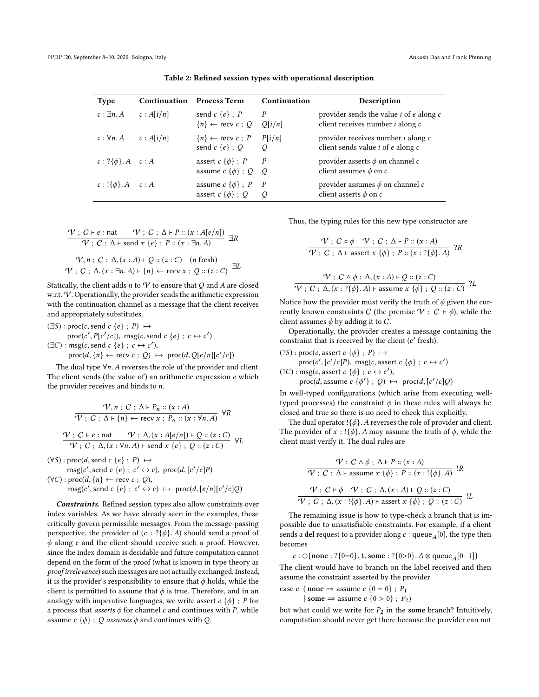<span id="page-5-0"></span>

| <b>Type</b>                   | <b>Continuation</b> | <b>Process Term</b>                                   | Continuation             | Description                                                                                                    |
|-------------------------------|---------------------|-------------------------------------------------------|--------------------------|----------------------------------------------------------------------------------------------------------------|
| $c : \exists n. A$            | c: A[i/n]           | send $c \{e\}$ ; P<br>${n} \leftarrow$ recv $c : Q$   | $\overline{P}$<br>O[i/n] | provider sends the value <i>i</i> of <i>e</i> along <i>c</i><br>client receives number <i>i</i> along <i>c</i> |
| $c: \forall n. A$             | c: A[i/n]           | $\{n\} \leftarrow$ recv $c : P$<br>send $c \{e\}$ ; Q | P[i/n]<br>O              | provider receives number <i>i</i> along <i>c</i><br>client sends value $i$ of $e$ along $c$                    |
| $c: ?\{\phi\}.A \quad c:A$    |                     | assert $c \{\phi\}$ ; P<br>assume $c \{\phi\}$ ; Q Q  | P                        | provider asserts $\phi$ on channel $c$<br>client assumes $\phi$ on c                                           |
| $c: \{\{\phi\}. A \quad c: A$ |                     | assume $c \{\phi\}$ ; P<br>assert $c \{\phi\}$ ; O    | $\overline{P}$<br>O      | provider assumes $\phi$ on channel c<br>client asserts $\phi$ on c                                             |

Table 2: Refined session types with operational description

$$
\frac{\mathcal{V}: C \vdash e : \text{nat } \mathcal{V}: C ; \Delta \vdash P :: (x : A[e/n])}{\mathcal{V}: C ; \Delta \vdash \text{send } x \{e\} ; P :: (x : \exists n.A)} \exists R
$$
\n
$$
\frac{\mathcal{V}, n : C : \Delta, (x : A) \vdash Q :: (z : C) \quad (n \text{ fresh})}{\mathcal{V}: C : \Delta, (x : \exists n.A) \vdash \{n\} \leftarrow \text{recv } x ; Q :: (z : C)} \exists L
$$

Statically, the client adds  $n$  to  $V$  to ensure that  $Q$  and  $A$  are closed w.r.t.  $V$ . Operationally, the provider sends the arithmetic expression with the continuation channel as a message that the client receives and appropriately substitutes.

 $(\exists S) : \text{proc}(c, \text{send } c \{e\} : P) \mapsto$ proc(c', P[c'/c]), msg(c, send c {e} ;  $c \leftrightarrow c'$ )  $(\exists C) : \text{msg}(c, \text{send } c \{e\}; c \leftrightarrow c'),$ <br>  $\text{prog}(d, ln) \leftarrow \text{recv}(c : O) +$ 

 $\text{proc}(d, \{n\} \leftarrow \text{recv } c \text{ ; } Q) \mapsto \text{proc}(d, Q[e/n][c'/c])$ 

The dual type  $\forall n$ . A reverses the role of the provider and client. The client sends (the value of) an arithmetic expression e which the provider receives and binds to n.

$$
\frac{\mathcal{V}, n; C; \Delta \vdash P_n :: (x : A)}{\mathcal{V}; C; \Delta \vdash \{n\} \leftarrow \text{recv } x; P_n :: (x : \forall n. A)} \forall R
$$
\n
$$
\frac{\mathcal{V}}{\mathcal{V}}; C \vdash e : \text{nat} \qquad \mathcal{V}; \Delta, (x : A[e/n]) \vdash Q :: (z : C)}{\mathcal{V}; C; \Delta, (x : \forall n. A) \vdash \text{send } x \{e\}; Q :: (z : C)} \forall L
$$

 $(\forall S) : \text{proc}(d, \text{send } c \{e\} : P) \mapsto$ 

$$
msg(c', send c \{e\}; c' \leftrightarrow c), proc(d, [c'/c]P)
$$
  
( $\forall C$ ): proc(d, {*n*}  $\leftarrow$  recv c; Q),  
msg(c', send c {*e*}; c'  $\leftrightarrow$  c)  $\mapsto$  proc(d, [*e*/*n*][*c'*/*c*]Q)

Constraints. Refined session types also allow constraints over index variables. As we have already seen in the examples, these critically govern permissible messages. From the message-passing perspective, the provider of  $(c : ?{\phi}$ . A) should send a proof of  $\phi$  along c and the client should receive such a proof. However, since the index domain is decidable and future computation cannot depend on the form of the proof (what is known in type theory as proof irrelevance) such messages are not actually exchanged. Instead, it is the provider's responsibility to ensure that  $\phi$  holds, while the client is permitted to assume that  $\phi$  is true. Therefore, and in an analogy with imperative languages, we write assert  $c \{\phi\}$ ; P for a process that *asserts*  $\phi$  for channel c and continues with P, while assume  $c \{\phi\}$ ; Q assumes  $\phi$  and continues with Q.

Thus, the typing rules for this new type constructor are

$$
\frac{\mathcal{V}: C \models \phi \quad \mathcal{V}: C; \Delta \vdash P :: (x:A)}{\mathcal{V}: C; \Delta \vdash \text{assert } x \{\phi\}; P :: (x:?\{\phi\}.A)} ?R
$$

$$
\frac{\mathcal{V}: C \land \phi: \Delta, (x:A) \vdash Q :: (z:C)}{\mathcal{V}: C: \Delta, (x:?\{\phi\}, A) \vdash \text{assume } x \{\phi\}; Q :: (z:C)} \text{ ?}L
$$

Notice how the provider must verify the truth of  $\phi$  given the currently known constraints C (the premise  $V : C \models \phi$ ), while the client assumes  $\phi$  by adding it to C.

Operationally, the provider creates a message containing the constraint that is received by the client (c' fresh).

 $(?S)$ : proc(c, assert c { $\phi$ }; P)  $\mapsto$ 

proc(c', [c'/c]P), msg(c, assert c { $\phi$ }; c  $\leftrightarrow$  c')<br>msg(c, assert c { $\phi$ } ; c  $\leftrightarrow$  c') (?C) : msg(c, assert c { $\phi$ } ; c  $\leftrightarrow$  c'),<br>proc(d assume c { $\phi$ ') : O)

proc(d, assume  $c \{\phi'\}$ ; Q)  $\mapsto \text{proc}(d, [c'/c]Q)$ 

In well-typed configurations (which arise from executing welltyped processes) the constraint  $\phi$  in these rules will always be closed and true so there is no need to check this explicitly.

The dual operator ! $\{\phi\}$ . A reverses the role of provider and client. The provider of  $x$  : !{ $\phi$ }. A may assume the truth of  $\phi$ , while the client must verify it. The dual rules are

$$
\frac{\mathcal{V}: C \land \phi: \Delta \vdash P :: (x:A)}{\mathcal{V}: C: \Delta \vdash \text{assume } x \{\phi\}: P :: (x : !\{\phi\}. A) } \quad R
$$
\n
$$
\frac{\mathcal{V}: C \models \phi \quad \mathcal{V}: C: \Delta, (x : A) \vdash Q :: (z : C)}{\mathcal{V}: C: \Delta, (x : !\{\phi\}. A) \vdash \text{assert } x \{\phi\}: Q :: (z : C) } \quad L
$$

The remaining issue is how to type-check a branch that is impossible due to unsatisfiable constraints. For example, if a client sends a del request to a provider along  $c : \mathsf{queue}_A[0]$ , the type then becomes becomes

$$
c : \oplus \{none : ?\{0=0\}.\, 1, some : ?\{0>0\}.\, A \otimes queue_A[0-1]\}
$$

c : ⊕{none : ?{0=0}. 1, some : ?{0>0}. A ⊗ queue<sub>A</sub>[0−1]}<br>The client would have to branch on the label received and then assume the constraint asserted by the provider

case c (none  $\Rightarrow$  assume c {0 = 0}; P<sub>1</sub> | some  $\Rightarrow$  assume  $c \{0 > 0\}$ ;  $P_2$ )

but what could we write for  $P_2$  in the some branch? Intuitively, computation should never get there because the provider can not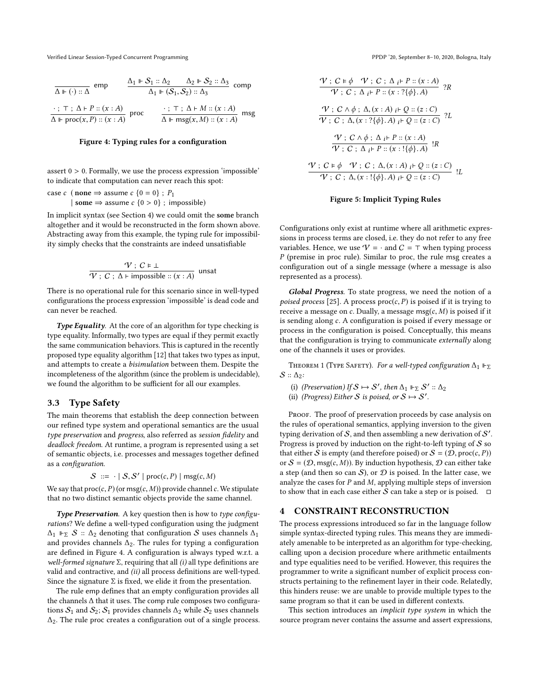<span id="page-6-2"></span>

| $\overline{\Delta \Vdash (\cdot) :: \Delta}$ emp                |  | $\frac{\Delta_1 \Vdash \mathcal{S}_1 :: \Delta_2 \qquad \Delta_2 \Vdash \mathcal{S}_2 :: \Delta_3}{\Delta_1 \Vdash (\mathcal{S}_1, \mathcal{S}_2) :: \Delta_3}$ comp |  |
|-----------------------------------------------------------------|--|----------------------------------------------------------------------------------------------------------------------------------------------------------------------|--|
| $\frac{\cdot}{\Delta \Vdash \text{proc}(x, P) :: (x : A)}$ proc |  | ∴; ⊤; ∆ + M :: (x : A)<br>$\Delta$ ⊩ msg(x, M) :: (x : A)                                                                                                            |  |

#### Figure 4: Typing rules for a configuration

assert  $0 > 0$ . Formally, we use the process expression 'impossible' to indicate that computation can never reach this spot:

case c ( none  $\Rightarrow$  assume c {0 = 0} ; P<sub>1</sub> | some  $\Rightarrow$  assume  $c$  {0 > 0} ; impossible)

In implicit syntax (see Section [4\)](#page-6-0) we could omit the some branch altogether and it would be reconstructed in the form shown above. Abstracting away from this example, the typing rule for impossibility simply checks that the constraints are indeed unsatisfiable

$$
\frac{\mathcal{V}}{\mathcal{V}}; C \in \bot
$$
\n
$$
\mathcal{V}; C; \Delta \vdash \text{impossible} :: (x : A) \text{ unsat}
$$

There is no operational rule for this scenario since in well-typed configurations the process expression 'impossible' is dead code and can never be reached.

Type Equality. At the core of an algorithm for type checking is type equality. Informally, two types are equal if they permit exactly the same communication behaviors. This is captured in the recently proposed type equality algorithm [\[12\]](#page-13-5) that takes two types as input, and attempts to create a bisimulation between them. Despite the incompleteness of the algorithm (since the problem is undecidable), we found the algorithm to be sufficient for all our examples.

#### <span id="page-6-1"></span>3.3 Type Safety

The main theorems that establish the deep connection between our refined type system and operational semantics are the usual type preservation and progress, also referred as session fidelity and deadlock freedom. At runtime, a program is represented using a set of semantic objects, i.e. processes and messages together defined as a configuration.

$$
S ::= \cdot | S, S' | \text{proc}(c, P) | \text{msg}(c, M)
$$

We say that  $proc(c, P)$  (or msg $(c, M)$ ) provide channel c. We stipulate<br>that no two distinct semantic objects provide the same channel that no two distinct semantic objects provide the same channel.

Type Preservation. A key question then is how to type configurations? We define a well-typed configuration using the judgment  $\Delta_1$  ⊩<sub>Σ</sub> S ::  $\Delta_2$  denoting that configuration S uses channels  $\Delta_1$ and provides channels  $\Delta_2$ . The rules for typing a configuration are defined in Figure [4.](#page-6-2) A configuration is always typed w.r.t. a well-formed signature Σ, requiring that all  $(i)$  all type definitions are valid and contractive, and (ii) all process definitions are well-typed. Since the signature  $\Sigma$  is fixed, we elide it from the presentation.

The rule emp defines that an empty configuration provides all the channels ∆ that it uses. The comp rule composes two configurations  $S_1$  and  $S_2$ ;  $S_1$  provides channels  $\Delta_2$  while  $S_2$  uses channels ∆2. The rule proc creates a configuration out of a single process.

<span id="page-6-3"></span>
$$
\frac{\mathcal{V}: C \models \phi \quad \mathcal{V}: C; \Delta_i \vdash P :: (x:A)}{\mathcal{V}: C; \Delta_i \vdash P :: (x:?\{\phi\}.A)} \quad ?R
$$
\n
$$
\frac{\mathcal{V}: C \land \phi: \Delta_i(x:A) \not\models Q :: (z:C)}{\mathcal{V}: C; \Delta_i(x:?\{\phi\}.A) \not\models Q :: (z:C)} \quad ?L
$$
\n
$$
\frac{\mathcal{V}: C \land \phi: \Delta_i \vdash P :: (x:A)}{\mathcal{V}: C; \Delta_i \vdash P :: (x:!\{\phi\}.A)} \quad !R
$$
\n
$$
\frac{\mathcal{V}: C \models \phi \quad \mathcal{V}: C; \Delta_i(x:A) \not\models Q :: (z:C)}{\mathcal{V}: C; \Delta_i(x:!\{\phi\}.A) \not\models Q :: (z:C)} \quad !L
$$

#### Figure 5: Implicit Typing Rules

Configurations only exist at runtime where all arithmetic expressions in process terms are closed, i.e. they do not refer to any free variables. Hence, we use  $V = \cdot$  and  $C = \top$  when typing process  $P$  (premise in proc rule). Similar to proc, the rule msg creates a configuration out of a single message (where a message is also represented as a process).

Global Progress. To state progress, we need the notion of a poised process [\[25\]](#page-14-10). A process  $proc(c, P)$  is poised if it is trying to receive a message on c. Dually, a message msg $(c, M)$  is poised if it is sending along c. A configuration is poised if every message or process in the configuration is poised. Conceptually, this means that the configuration is trying to communicate externally along one of the channels it uses or provides.

THEOREM 1 (TYPE SAFETY). For a well-typed configuration  $\Delta_1 \Vdash_{\Sigma}$  $S :: \Delta_2$ :

- (i) (Preservation) If  $S \mapsto S'$ , then  $\Delta_1 \Vdash_{\Sigma} S' :: \Delta_2$ <br>ii) (Progress) Either S is poised or  $S \mapsto S'$
- (ii) (Progress) Either S is poised, or  $S \mapsto S'$ .

PROOF. The proof of preservation proceeds by case analysis on the rules of operational semantics, applying inversion to the given typing derivation of S, and then assembling a new derivation of  $S'$ . Progress is proved by induction on the right-to-left typing of  $S$  so that either S is empty (and therefore poised) or  $S = (D, \text{proc}(c, P))$ or  $S = (D, msg(c, M))$ . By induction hypothesis, D can either take a step (and then so can  $S$ ), or  $D$  is poised. In the latter case, we analyze the cases for  $P$  and  $M$ , applying multiple steps of inversion to show that in each case either S can take a step or is poised.  $\square$ 

#### <span id="page-6-0"></span>4 CONSTRAINT RECONSTRUCTION

The process expressions introduced so far in the language follow simple syntax-directed typing rules. This means they are immediately amenable to be interpreted as an algorithm for type-checking, calling upon a decision procedure where arithmetic entailments and type equalities need to be verified. However, this requires the programmer to write a significant number of explicit process constructs pertaining to the refinement layer in their code. Relatedly, this hinders reuse: we are unable to provide multiple types to the same program so that it can be used in different contexts.

This section introduces an *implicit type system* in which the source program never contains the assume and assert expressions,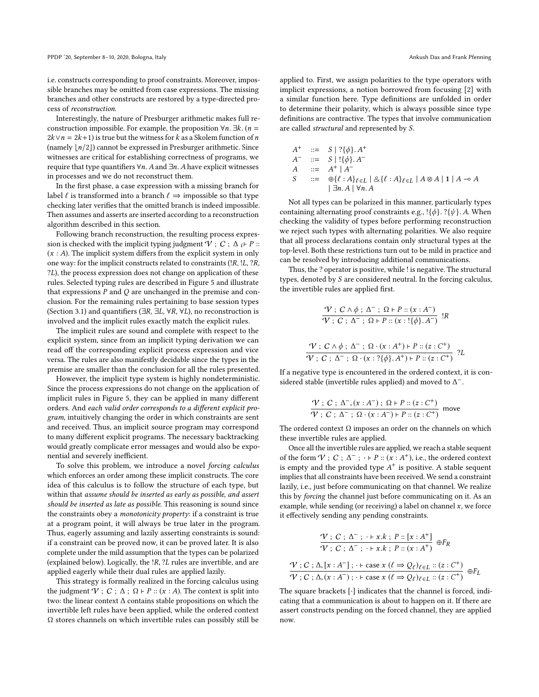i.e. constructs corresponding to proof constraints. Moreover, impossible branches may be omitted from case expressions. The missing branches and other constructs are restored by a type-directed process of reconstruction.

Interestingly, the nature of Presburger arithmetic makes full reconstruction impossible. For example, the proposition  $\forall n$ .  $\exists k$ . (*n* =  $2k \vee n = 2k+1$ ) is true but the witness for k as a Skolem function of n (namely  $\lfloor n/2 \rfloor$ ) cannot be expressed in Presburger arithmetic. Since witnesses are critical for establishing correctness of programs, we require that type quantifiers  $\forall n$ . A and  $\exists n$ . A have explicit witnesses in processes and we do not reconstruct them.

In the first phase, a case expression with a missing branch for label  $\ell$  is transformed into a branch  $\ell \Rightarrow$  impossible so that type checking later verifies that the omitted branch is indeed impossible. Then assumes and asserts are inserted according to a reconstruction algorithm described in this section.

Following branch reconstruction, the resulting process expression is checked with the implicit typing judgment  $V$ ;  $C$ ;  $\Delta_i \vdash P$  ::  $(x : A)$ . The implicit system differs from the explicit system in only one way: for the implicit constructs related to constraints (!R, !L, ?R, ?L), the process expression does not change on application of these rules. Selected typing rules are described in Figure [5](#page-6-3) and illustrate that expressions  $P$  and  $Q$  are unchanged in the premise and conclusion. For the remaining rules pertaining to base session types (Section [3.1\)](#page-3-0) and quantifiers ( $\exists R, \exists L, \forall R, \forall L$ ), no reconstruction is involved and the implicit rules exactly match the explicit rules.

The implicit rules are sound and complete with respect to the explicit system, since from an implicit typing derivation we can read off the corresponding explicit process expression and vice versa. The rules are also manifestly decidable since the types in the premise are smaller than the conclusion for all the rules presented.

However, the implicit type system is highly nondeterministic. Since the process expressions do not change on the application of implicit rules in Figure [5,](#page-6-3) they can be applied in many different orders. And each valid order corresponds to a different explicit program, intuitively changing the order in which constraints are sent and received. Thus, an implicit source program may correspond to many different explicit programs. The necessary backtracking would greatly complicate error messages and would also be exponential and severely inefficient.

To solve this problem, we introduce a novel forcing calculus which enforces an order among these implicit constructs. The core idea of this calculus is to follow the structure of each type, but within that assume should be inserted as early as possible, and assert should be inserted as late as possible. This reasoning is sound since the constraints obey a monotonicity property: if a constraint is true at a program point, it will always be true later in the program. Thus, eagerly assuming and lazily asserting constraints is sound: if a constraint can be proved now, it can be proved later. It is also complete under the mild assumption that the types can be polarized (explained below). Logically, the !R, ?<sup>L</sup> rules are invertible, and are applied eagerly while their dual rules are applied lazily.

This strategy is formally realized in the forcing calculus using the judgment  $V$ ;  $C$ ;  $\Delta$ ;  $\Omega$  ⊢  $P$  :: ( $x$  : A). The context is split into two: the linear context ∆ contains stable propositions on which the invertible left rules have been applied, while the ordered context Ω stores channels on which invertible rules can possibly still be applied to. First, we assign polarities to the type operators with implicit expressions, a notion borrowed from focusing [\[2\]](#page-13-6) with a similar function here. Type definitions are unfolded in order to determine their polarity, which is always possible since type definitions are contractive. The types that involve communication are called structural and represented by S.

$$
A^{+} := S | ? {\phi} }. A^{+}
$$
  
\n
$$
A^{-} := S | ! {\phi} }. A^{-}
$$
  
\n
$$
A := A^{+} | A^{-}
$$
  
\n
$$
S := \bigoplus \{ \ell : A \}_{\ell \in L} | \& \{ \ell : A \}_{\ell \in L} | A \otimes A | 1 | A - \circ A
$$
  
\n
$$
| \exists n. A | \forall n. A
$$

Not all types can be polarized in this manner, particularly types containing alternating proof constraints e.g.,  $\{\phi\}$ .  $\{\psi\}$ . A. When checking the validity of types before performing reconstruction we reject such types with alternating polarities. We also require that all process declarations contain only structural types at the top-level. Both these restrictions turn out to be mild in practice and can be resolved by introducing additional communications.

Thus, the ? operator is positive, while ! is negative. The structural types, denoted by S are considered neutral. In the forcing calculus, the invertible rules are applied first.

$$
\frac{\mathcal{V}: C \wedge \phi: \Delta^{-} \colon \Omega \vdash P :: (x : A^{-})}{\mathcal{V}: C : \Delta^{-} \colon \Omega \vdash P :: (x : !\{\phi\}.A^{-})} !R
$$
\n
$$
\frac{\mathcal{V}: C \wedge \phi: \Delta^{-} \colon \Omega \cdot (x : A^{+}) \vdash P :: (z : C^{+})}{\mathcal{V}: C : \Delta^{-} \colon \Omega \cdot (x : ?\{\phi\}.A^{+}) \vdash P :: (z : C^{+})} ?L
$$

If a negative type is encountered in the ordered context, it is considered stable (invertible rules applied) and moved to  $\Delta^-$ .

$$
\frac{\mathcal{V}: C: \Delta^-, (x:A^-): \Omega \vdash P :: (z:C^+)}{\mathcal{V}: C: \Delta^-, \Omega \cdot (x:A^-) \vdash P :: (z:C^+)} \text{ move}
$$

The ordered context  $\Omega$  imposes an order on the channels on which these invertible rules are applied.

Once all the invertible rules are applied, we reach a stable sequent of the form  $V$ ;  $C$ ;  $\Delta^-$ ;  $\cdot$   $\vdash$   $P$  ::  $(\hat{x}: A^+)$ , i.e., the ordered context<br>is empty and the provided type  $A^+$  is positive. A stable sequent is empty and the provided type  $A^+$  is positive. A stable sequent implies that all constraints have been received. We send a constraint lazily, i.e., just before communicating on that channel. We realize this by forcing the channel just before communicating on it. As an example, while sending (or receiving) a label on channel  $x$ , we force it effectively sending any pending constraints.

$$
\frac{\mathcal{V}: C: \Delta^{-}: + x.k : P :: [x : A^{+}]}{\mathcal{V}: C: \Delta^{-}: + x.k : P :: (x : A^{+})} \oplus F_R
$$
\n
$$
\frac{\mathcal{V}: C: \Delta, [x : A^{-}]: + \text{case } x \ (\ell \Rightarrow Q_{\ell})_{\ell \in L} :: (z : C^{+})}{\mathcal{V}: C: \Delta, (x : A^{-}): + \text{case } x \ (\ell \Rightarrow Q_{\ell})_{\ell \in L} :: (z : C^{+})} \oplus F_L
$$

The square brackets [·] indicates that the channel is forced, indicating that a communication is about to happen on it. If there are assert constructs pending on the forced channel, they are applied now.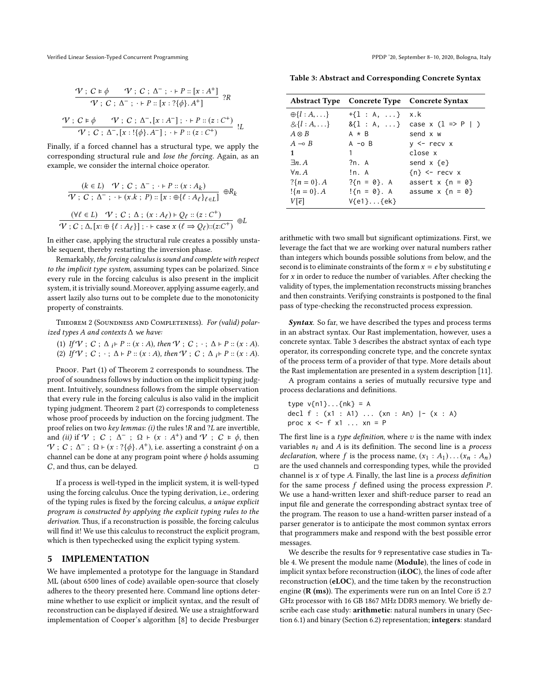$$
\frac{\mathcal{V}: C \models \phi \qquad \mathcal{V}: C \; ; \; \Delta^{-} \; ; \; \cdot \vdash P :: [x : A^{+}] \; }{\mathcal{V}: C \; ; \; \Delta^{-} \; ; \; \cdot \vdash P :: [x : ?\{\phi\}.A^{+}] \; } \; ?R
$$
\n
$$
\frac{\mathcal{V}: C \models \phi \qquad \mathcal{V}: C \; ; \; \Delta^{-}, [x : A^{-}] \; ; \; \cdot \vdash P :: (z : C^{+}) \; }{\mathcal{V}: C \; ; \; \Delta^{-}, [x : !\{\phi\}.A^{-}] \; ; \; \cdot \vdash P :: (z : C^{+}) \; } \; !L
$$

Finally, if a forced channel has a structural type, we apply the corresponding structural rule and lose the forcing. Again, as an example, we consider the internal choice operator.

$$
\frac{(k \in L) \quad \mathcal{V} \; ; \; C \; ; \; \Delta^{-} \; ; \; \cdot \vdash P :: (x : A_k)}{\mathcal{V} \; ; \; C \; ; \; \Delta^{-} \; ; \; \cdot \vdash (x.k; \; P) :: [x : \oplus \{\ell : A_{\ell}\}_{\ell \in L}]} \; \oplus R_k
$$
\n
$$
\frac{(\forall \ell \in L) \quad \mathcal{V} \; ; \; C \; ; \; \Delta \; ; \; (x : A_{\ell}) \vdash Q_{\ell} :: (z : C^{+})}{\mathcal{V} \; ; \; C \; ; \; \Delta, [x : \oplus \{\ell : A_{\ell}\}] \; ; \; \cdot \vdash \text{case } x \; (\ell \Rightarrow Q_{\ell}) :: (z : C^{+})} \; \oplus L
$$

In either case, applying the structural rule creates a possibly unstable sequent, thereby restarting the inversion phase.

Remarkably, the forcing calculus is sound and complete with respect to the implicit type system, assuming types can be polarized. Since every rule in the forcing calculus is also present in the implicit system, it is trivially sound. Moreover, applying assume eagerly, and assert lazily also turns out to be complete due to the monotonicity property of constraints.

<span id="page-8-1"></span>Theorem 2 (Soundness and Completeness). For (valid) polarized types A and contexts  $\Delta$  we have:

(1) If  $V$ ; C;  $\Delta_i \vdash P :: (x : A)$ , then  $V$ ; C;  $\cdot$ ;  $\Delta \vdash P :: (x : A)$ . (2) If  $V$ ; C;  $\cdot$ ;  $\Delta \vdash P :: (x : A)$ , then  $V$ ; C;  $\Delta_i \vdash P :: (x : A)$ .

PROOF. Part (1) of Theorem [2](#page-8-1) corresponds to soundness. The proof of soundness follows by induction on the implicit typing judgment. Intuitively, soundness follows from the simple observation that every rule in the forcing calculus is also valid in the implicit typing judgment. Theorem [2](#page-8-1) part (2) corresponds to completeness whose proof proceeds by induction on the forcing judgment. The proof relies on two key lemmas: (i) the rules !R and ?L are invertible, and (ii) if  $V$ ; C;  $\Delta^-$ ;  $\Omega \vdash (x : A^+)$  and  $V$ ;  $C \models \phi$ , then<br> $V \cdot C \cdot \Delta^- \cdot O \models (x : 2161 \, 4^+)$  i.e. asserting a constraint  $\phi$  on a  $V$ ;  $C$ ;  $\Delta^-$ ;  $\Omega \vdash (x : ?\{\phi\}, A^+)$ , i.e. asserting a constraint  $\phi$  on a channel can be done at any program point where  $\phi$  holds assuming channel can be done at any program point where  $\phi$  holds assuming C, and thus, can be delayed.  $\Box$ 

If a process is well-typed in the implicit system, it is well-typed using the forcing calculus. Once the typing derivation, i.e., ordering of the typing rules is fixed by the forcing calculus, a unique explicit program is constructed by applying the explicit typing rules to the derivation. Thus, if a reconstruction is possible, the forcing calculus will find it! We use this calculus to reconstruct the explicit program, which is then typechecked using the explicit typing system.

#### <span id="page-8-0"></span>5 IMPLEMENTATION

We have implemented a prototype for the language in Standard ML (about 6500 lines of code) available open-source that closely adheres to the theory presented here. Command line options determine whether to use explicit or implicit syntax, and the result of reconstruction can be displayed if desired. We use a straightforward implementation of Cooper's algorithm [\[8\]](#page-13-14) to decide Presburger

<span id="page-8-2"></span>

|                            |                  | Abstract Type Concrete Type Concrete Syntax |
|----------------------------|------------------|---------------------------------------------|
| $\oplus \{l : A, \ldots\}$ | $+{1 : A, }$     | x.k                                         |
| $\&\{l:A,\ldots\}$         |                  | $\&\{1 : A, \ldots\}$ case x (1 => P   )    |
| $A \otimes B$              | $A \times B$     | send x w                                    |
| $A \multimap B$            | $A - O B$        | $y \le -$ recv $x$                          |
| $\mathbf 1$                | 1                | close x                                     |
| $\exists n. A$             | 2n. A            | send $x \{e\}$                              |
| $\forall n. A$             | In. A            | ${n} < -$ recv x                            |
| $? \{ n = 0 \}$ . A        | $?{n = 0}. A$    | assert $x \{n = 0\}$                        |
| $\{n = 0\}$ . A            | $!\{n = 0\}$ . A | assume $x \{n = 0\}$                        |
| $V[\bar{e}]$               | $V{e1}$ $\{ek\}$ |                                             |

arithmetic with two small but significant optimizations. First, we leverage the fact that we are working over natural numbers rather than integers which bounds possible solutions from below, and the second is to eliminate constraints of the form  $x = e$  by substituting e for  $x$  in order to reduce the number of variables. After checking the validity of types, the implementation reconstructs missing branches and then constraints. Verifying constraints is postponed to the final pass of type-checking the reconstructed process expression.

Syntax. So far, we have described the types and process terms in an abstract syntax. Our Rast implementation, however, uses a concrete syntax. Table [3](#page-8-2) describes the abstract syntax of each type operator, its corresponding concrete type, and the concrete syntax of the process term of a provider of that type. More details about the Rast implementation are presented in a system description [\[11\]](#page-13-7).

A program contains a series of mutually recursive type and process declarations and definitions.

type v{n1}...
$$
{nk} = A
$$
  
decl f : (x1 : A1) ... (xn : An)  $|- (x : A)$   
proc x  $<$  f x1 ... xn = P

The first line is a type definition, where  $v$  is the name with index variables  $n_i$  and A is its definition. The second line is a process *declaration*, where f is the process name,  $(x_1 : A_1) \dots (x_n : A_n)$ are the used channels and corresponding types, while the provided channel is  $x$  of type  $A$ . Finally, the last line is a *process definition* for the same process f defined using the process expression P. We use a hand-written lexer and shift-reduce parser to read an input file and generate the corresponding abstract syntax tree of the program. The reason to use a hand-written parser instead of a parser generator is to anticipate the most common syntax errors that programmers make and respond with the best possible error messages.

We describe the results for 9 representative case studies in Ta-ble [4.](#page-9-1) We present the module name (Module), the lines of code in implicit syntax before reconstruction (iLOC), the lines of code after reconstruction (eLOC), and the time taken by the reconstruction engine (R (ms)). The experiments were run on an Intel Core i5 2.7 GHz processor with 16 GB 1867 MHz DDR3 memory. We briefly describe each case study: arithmetic: natural numbers in unary (Section [6.1\)](#page-9-2) and binary (Section [6.2\)](#page-9-3) representation; integers: standard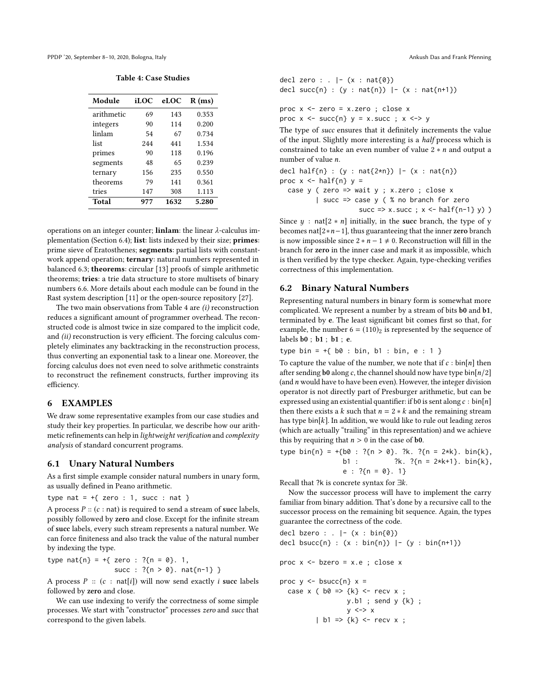<span id="page-9-1"></span>PPDP '20, September 8-10, 2020, Bologna, Italy Ankush Das and Frank Pfenning

| <b>Table 4: Case Studies</b> |  |
|------------------------------|--|
|------------------------------|--|

| Module     | iLOC | eLOC | R(ms) |
|------------|------|------|-------|
| arithmetic | 69   | 143  | 0.353 |
| integers   | 90   | 114  | 0.200 |
| linlam     | 54   | 67   | 0.734 |
| list       | 244  | 441  | 1.534 |
| primes     | 90   | 118  | 0.196 |
| segments   | 48   | 65   | 0.239 |
| ternary    | 156  | 235  | 0.550 |
| theorems   | 79   | 141  | 0.361 |
| tries      | 147  | 308  | 1.113 |
| Total      | 977  | 1632 | 5.280 |

operations on an integer counter; linlam: the linear λ-calculus im-plementation (Section [6.4\)](#page-10-0); list: lists indexed by their size; primes: prime sieve of Eratosthenes; segments: partial lists with constantwork append operation; ternary: natural numbers represented in balanced [6.3;](#page-10-1) theorems: circular [\[13\]](#page-13-15) proofs of simple arithmetic theorems; tries: a trie data structure to store multisets of binary numbers [6.6.](#page-12-1) More details about each module can be found in the Rast system description [\[11\]](#page-13-7) or the open-source repository [\[27\]](#page-14-9).

The two main observations from Table [4](#page-9-1) are  $(i)$  reconstruction reduces a significant amount of programmer overhead. The reconstructed code is almost twice in size compared to the implicit code, and (ii) reconstruction is very efficient. The forcing calculus completely eliminates any backtracking in the reconstruction process, thus converting an exponential task to a linear one. Moreover, the forcing calculus does not even need to solve arithmetic constraints to reconstruct the refinement constructs, further improving its efficiency.

#### <span id="page-9-0"></span>6 EXAMPLES

We draw some representative examples from our case studies and study their key properties. In particular, we describe how our arithmetic refinements can help in lightweight verification and complexity analysis of standard concurrent programs.

#### <span id="page-9-2"></span>6.1 Unary Natural Numbers

As a first simple example consider natural numbers in unary form, as usually defined in Peano arithmetic.

type nat =  $+\{$  zero : 1, succ : nat }

A process  $P$  :: ( $c$  : nat) is required to send a stream of succ labels, possibly followed by zero and close. Except for the infinite stream of succ labels, every such stream represents a natural number. We can force finiteness and also track the value of the natural number by indexing the type.

type  $nat{n} = +{$  zero :  $?{n = 0}$ . 1, succ :  $?{n > 0}.$  nat ${n-1}$  }

A process  $P :: (c : nat[i])$  will now send exactly i succ labels followed by zero and close.

We can use indexing to verify the correctness of some simple processes. We start with "constructor" processes zero and succ that correspond to the given labels.

$$
\begin{array}{ll}\n\text{decl zero}: & |-(x : \text{nat}\{\emptyset\}) \\
\text{decl succ}\{n\} : (y : \text{nat}\{n\}) & |-(x : \text{nat}\{n+1\})\n\end{array}
$$

proc x <- zero = x.zero ; close x proc  $x \le -$  succ{n}  $y = x$ . succ ;  $x \le -\frac{1}{y}$ 

The type of succ ensures that it definitely increments the value of the input. Slightly more interesting is a half process which is constrained to take an even number of value  $2 * n$  and output a number of value n.

```
decl half{n} : (y : nat{2*n}) |- (x : nat{n})
proc x \le - half{n} y =case y ( zero \Rightarrow wait y ; x.zero ; close x
          | succ => case y ( % no branch for zero
                       succ => x.succ ; x \leftarrow \text{half}\{n-1\} \vee)
```
Since  $y : nat[2 * n]$  initially, in the succ branch, the type of y becomes nat[2∗n−1], thus guaranteeing that the inner zero branch is now impossible since  $2 * n - 1 \neq 0$ . Reconstruction will fill in the branch for zero in the inner case and mark it as impossible, which is then verified by the type checker. Again, type-checking verifies correctness of this implementation.

#### <span id="page-9-3"></span>6.2 Binary Natural Numbers

Representing natural numbers in binary form is somewhat more complicated. We represent a number by a stream of bits b0 and b1, terminated by e. The least significant bit comes first so that, for example, the number  $6 = (110)<sub>2</sub>$  is represented by the sequence of labels b0 ; b1 ; b1 ; e.

type bin =  $+$ { b0 : bin, b1 : bin, e : 1 }

To capture the value of the number, we note that if  $c : \text{bin}[n]$  then after sending b0 along c, the channel should now have type bin[ $n/2$ ] (and  $n$  would have to have been even). However, the integer division operator is not directly part of Presburger arithmetic, but can be expressed using an existential quantifier: if b0 is sent along  $c : bin[n]$ then there exists a k such that  $n = 2 * k$  and the remaining stream has type  $bin[k]$ . In addition, we would like to rule out leading zeros (which are actually "trailing" in this representation) and we achieve this by requiring that  $n > 0$  in the case of **b0**.

\n
$$
\text{type bin}\{n\} = \frac{1}{60} : ?\{n > 0\}.
$$
\n  
\n $\text{?k. } ?\{n = 2*k\}.$ \n  
\n $\text{bin}\{k\}, \quad \text{bl. } ?\{n = 2*k + 1\}.$ \n  
\n $\text{bin}\{k\}, \quad \text{el. } ?\{n = 0\}.$ \n  
\n $\text{?l. } ?\{n = 2*k + 1\}.$ \n  
\n $\text{bin}\{k\}, \quad \text{el. } ?\{n = 0\}.$ \n  
\n $\text{?l. } ?\{n = 0\}.$ \n  
\n $\text{?l. } ?\{n = 0\}.$ \n  
\n $\text{?l. } ?\{n = 0\}.$ \n  
\n $\text{?l. } ?\{n = 0\}.$ \n  
\n $\text{?l. } ?\{n = 0\}.$ \n  
\n $\text{?l. } ?\{n = 0\}.$ \n  
\n $\text{?l. } ?\{n = 0\}.$ \n  
\n $\text{?l. } ?\{n = 0\}.$ \n  
\n $\text{?l. } ?\{n = 0\}.$ \n  
\n $\text{?l. } ?\{n = 0\}.$ \n  
\n $\text{?l. } ?\{n = 0\}.$ \n  
\n $\text{?l. } ?\{n = 0\}.$ \n  
\n $\text{?l. } ?\{n = 0\}.$ \n  
\n $\text{?l. } ?\{n = 0\}.$ \n  
\n $\text{?l. } ?\{n = 0\}.$ \n  
\n $\text{?l. } ?\{n = 0\}.$ \n  
\n $\text{?l. } ?\{n = 0\}.$ \n  
\n $\text{?l. } ?\{n = 0\}.$ \n  
\n $\text{?l. } ?\{n = 0\}.$ \n  
\n $\text{?l. } ?\{n = 0\}.$ \n  
\n $\text{?l. } ?\{n = 0\}.$ \n  
\n $\text{?l. } ?\{n = 0\}.$ \n  
\n $\text{?l.$ 

Recall that ?k is concrete syntax for ∃k.

Now the successor process will have to implement the carry familiar from binary addition. That's done by a recursive call to the successor process on the remaining bit sequence. Again, the types guarantee the correctness of the code.

```
decl bzero : . |- (x : bin{0})
decl bsucc{n} : (x : bin{n}) |- (y : bin{n+1})
```

```
proc x <- bzero = x.e ; close x
```

```
proc y \le - bsucc{n} x =case x ( b0 \implies {k} < - recv x ;
                   y.b1 ; send y {k} ;
                   y \le -\ge x| b1 => \{k\} <- recv x ;
```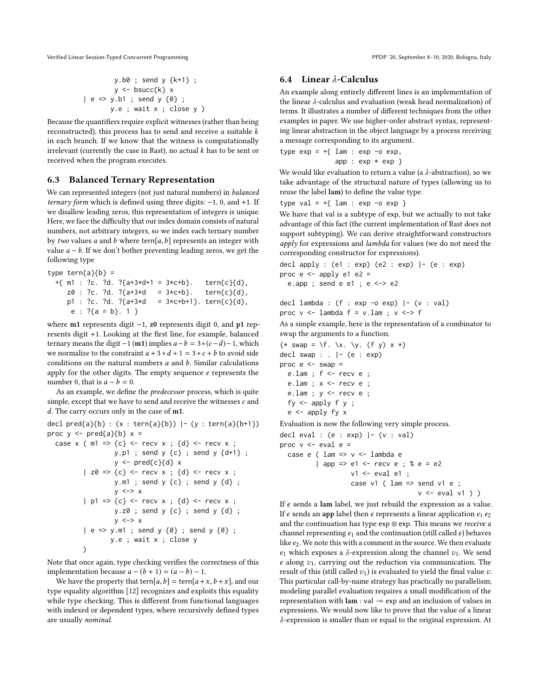$$
y.b0 ; send y {k+1} ;y < - bsucc{k} x| e => y.b1 ; send y {0} ;y.e ; wait x ; close y )
$$

Because the quantifiers require explicit witnesses (rather than being reconstructed), this process has to send and receive a suitable  $k$ in each branch. If we know that the witness is computationally irrelevant (currently the case in Rast), no actual  $k$  has to be sent or received when the program executes.

# <span id="page-10-1"></span>6.3 Balanced Ternary Representation

We can represented integers (not just natural numbers) in balanced ternary form which is defined using three digits:  $-1$ , 0, and  $+1$ . If we disallow leading zeros, this representation of integers is unique. Here, we face the difficulty that our index domain consists of natural numbers, not arbitrary integers, so we index each ternary number by two values a and b where tern[ $a, b$ ] represents an integer with value  $a - b$ . If we don't bother preventing leading zeros, we get the following type

```
type tern{a}{b} =
 +{ m1 : ?c. ?d. ?{a+3*d+1 = 3*c+b}. tern{c}{d},
    z0 : ?c. ?d. ?{a+3*d} = 3*c+b}. tern{c}{d},
    p1 : ?c. ?d. ?{a+3*d} = 3*c+b+1}. tern{c}{d},
     e : ?{a = b}. 1 }
```
where m1 represents digit −1, z0 represents digit 0, and p1 represents digit +1. Looking at the first line, for example, balanced ternary means the digit  $-1$  (m1) implies  $a-b = 3*(c-d)-1$ , which we normalize to the constraint  $a + 3 * d + 1 = 3 * c + b$  to avoid side conditions on the natural numbers  $a$  and  $b$ . Similar calculations apply for the other digits. The empty sequence  $e$  represents the number 0, that is  $a - b = 0$ .

As an example, we define the predecessor process, which is quite simple, except that we have to send and receive the witnesses  $c$  and d. The carry occurs only in the case of m1.

```
decl pred{a}{b} : (x : term{a}{b}) | - (y : term{a}{b+1})proc y \leq - pred{a}{b} x =case x ( m1 => {c} <- recv x ; {d} <- recv x ;
                   y.p1 ; send y {c} ; send y {d+1} ;
                   y \leq-pred{c}{d}| z0 \Rightarrow \{c\} \leq r recv x ; \{d\} \leq r recv x ;
                   y.m1 ; send y {c} ; send y {d} ;
                   y \le -\ge x| p1 \Rightarrow \{c\} <- recv x ; \{d\} <- recv x ;
                   y.z0 ; send y {c} ; send y {d} ;
                   y \le -\ge x| e => y.m1 ; send y {0} ; send y {0} ;
                  y.e ; wait x ; close y
          \lambda
```
Note that once again, type checking verifies the correctness of this implementation because  $a - (b + 1) = (a - b) - 1$ .

We have the property that tern[a, b] = tern[a + x, b + x], and our type equality algorithm [\[12\]](#page-13-5) recognizes and exploits this equality while type checking. This is different from functional languages with indexed or dependent types, where recursively defined types are usually nominal.

# <span id="page-10-0"></span>6.4 Linear λ-Calculus

An example along entirely different lines is an implementation of the linear λ-calculus and evaluation (weak head normalization) of terms. It illustrates a number of different techniques from the other examples in paper. We use higher-order abstract syntax, representing linear abstraction in the object language by a process receiving a message corresponding to its argument.

type  $exp = f \$   $1am : exp -o exp$ , app :  $exp * exp$  }

We would like evaluation to return a value (a  $λ$ -abstraction), so we take advantage of the structural nature of types (allowing us to reuse the label lam) to define the value type.

```
type val = +{ lam : exp -o exp }
```
We have that val is a subtype of exp, but we actually to not take advantage of this fact (the current implementation of Rast does not support subtyping). We can derive straightforward constructors apply for expressions and lambda for values (we do not need the corresponding constructor for expressions).

```
decl apply : (e1 : exp) (e2 : exp) |- (e : exp)proc e \leftarrow apply e1 e2 =e.app ; send e e1 ; e <-> e2
```

```
decl lambda : (f : exp -o exp) |- (v : val)
proc v \le - lambda f = v.lam; v \le -> f
```
As a simple example, here is the representation of a combinator to swap the arguments to a function.

```
(*\; swap = \{f. \setminus x. \setminus y. (f y) x *)\}decl swap : \vert - \vert (e : exp)
proc e \le - swap =
  e.lam ; f \leq - recv e ;
  e.lam ; x \le - recv e ;
  e.lam ; y \leq - recv e ;
  fy \leq - apply f \ y;
  e \leftarrow apply fy xEvaluation is now the following very simple process.
decl eval : (e : exp) |-(v : val)proc v \le eval e =
```
case e ( 
$$
\text{lam} \Rightarrow v < - \text{ lambda e}
$$

\n| app => e1 < - \text{recv} e ; % e = e2

\nv1 < - \text{ eval} e1 ;

\ncase v1 (  $\text{lam} \Rightarrow \text{send} v1 e$  ;

\nv < - \text{eval} v1 ) )

If e sends a lam label, we just rebuild the expression as a value. If e sends an app label then e represents a linear application  $e_1 e_2$ and the continuation has type exp ⊗ exp. This means we receive a channel representing  $e_1$  and the continuation (still called  $e$ ) behaves like  $e_2$ . We note this with a comment in the source. We then evaluate  $e_1$  which exposes a  $\lambda$ -expression along the channel  $v_1$ . We send  $e$  along  $v_1$ , carrying out the reduction via communication. The result of this (still called  $v_1$ ) is evaluated to yield the final value  $v$ . This particular call-by-name strategy has practically no parallelism; modeling parallel evaluation requires a small modification of the representation with lam : val ⊸ exp and an inclusion of values in expressions. We would now like to prove that the value of a linear λ-expression is smaller than or equal to the original expression. At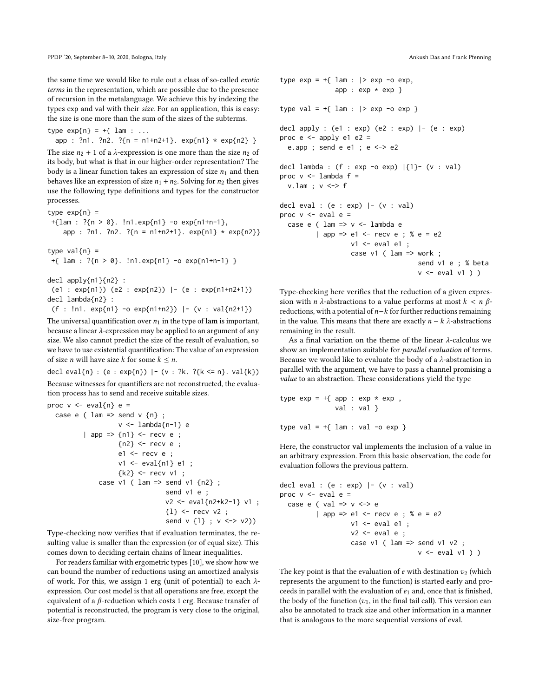the same time we would like to rule out a class of so-called exotic terms in the representation, which are possible due to the presence of recursion in the metalanguage. We achieve this by indexing the types exp and val with their size. For an application, this is easy: the size is one more than the sum of the sizes of the subterms.

type  $exp\{n\} = +\{$  lam : ... app : ?n1. ?n2. ?{n = n1+n2+1}. exp{n1} \* exp{n2} }

The size  $n_2 + 1$  of a  $\lambda$ -expression is one more than the size  $n_2$  of its body, but what is that in our higher-order representation? The body is a linear function takes an expression of size  $n_1$  and then behaves like an expression of size  $n_1 + n_2$ . Solving for  $n_2$  then gives use the following type definitions and types for the constructor processes.

```
type exp{n} =
+{lam : ?{n > 0}. !n1.exp{n1} -o exp{n1+n-1},
    app : ?n1. ?n2. ?{n = n1+n2+1}. exp{n1} * exp{n2}}
```

```
type val{n} =
+{ lam : ?{n > 0}. !n1.exp{n1} -o exp{n1+n-1} }
```

```
decl apply{n1}{n2} :
```

```
(e1 : exp{n1}) (e2 : exp{n2}) |- (e : exp{n1+n2+1})decl lambda{n2} :
```

```
(f : !n1. exp{n1} - o exp{n1+n2}) |- (v : val{n2+1})
```
The universal quantification over  $n_1$  in the type of lam is important, because a linear λ-expression may be applied to an argument of any size. We also cannot predict the size of the result of evaluation, so we have to use existential quantification: The value of an expression of size *n* will have size *k* for some  $k \leq n$ .

decl eval{n} : (e : exp{n}) | - (v : ?k. ?{k <= n}. val{k}) Because witnesses for quantifiers are not reconstructed, the evaluation process has to send and receive suitable sizes.

```
proc v \le -\text{eval{n}} e =case e ( lam \Rightarrow send v \{n\};
                    v <- lambda{n-1} e
          | app => \{n1\} <- recv e ;
                    {n2} <- recv e ;
                     e1 <- recv e ;
                     v1 <- eval{n1} e1 ;
                     {k2} <- recv v1 ;
               case v1 ( lam \Rightarrow send v1 \{n2\} ;
                                   send v1 e ;
                                   v2 <- eval{n2+k2-1} v1 ;
                                   {1} <- recv v2 ;
                                   send v \{1\}; v \le v \le v \le v)
```
Type-checking now verifies that if evaluation terminates, the resulting value is smaller than the expression (or of equal size). This comes down to deciding certain chains of linear inequalities.

For readers familiar with ergometric types [\[10\]](#page-13-8), we show how we can bound the number of reductions using an amortized analysis of work. For this, we assign 1 erg (unit of potential) to each  $\lambda$ expression. Our cost model is that all operations are free, except the equivalent of a  $β$ -reduction which costs 1 erg. Because transfer of potential is reconstructed, the program is very close to the original, size-free program.

```
type exp = +\{ lam : | > exp -o exp,
               app : exp * exp}
type val = +{ lam : |> exp -o exp }
decl apply : (e1 : exp) (e2 : exp) |- (e : exp)proc e \leftarrow apply e1 e2 =e.app ; send e e1 ; e <-> e2
decl lambda : (f : exp -o exp) |\{1\} - (v : val)proc v \le - lambda f =v.lam; v \leq v f
decl eval : (e : exp) |- (v : val)
proc v \le - eval e =case e ( lam => v <- lambda e
          | app => e1 <- recv e ; % e = e2
                    v1 \leftarrow \text{eval} \text{el} ;
                    case v1 ( lam \Rightarrow work;
                                        send v1 e ; % beta
                                        v \leftarrow \text{eval } v1))
```
Type-checking here verifies that the reduction of a given expression with *n*  $\lambda$ -abstractions to a value performs at most  $k < n \beta$ reductions, with a potential of n−k for further reductions remaining in the value. This means that there are exactly  $n - k \lambda$ -abstractions remaining in the result.

As a final variation on the theme of the linear λ-calculus we show an implementation suitable for parallel evaluation of terms. Because we would like to evaluate the body of a  $\lambda$ -abstraction in parallel with the argument, we have to pass a channel promising a value to an abstraction. These considerations yield the type

```
type exp = +\{ app : exp * exp ,val : val }
type val = +{ lam : val -o exp }
```
Here, the constructor val implements the inclusion of a value in an arbitrary expression. From this basic observation, the code for evaluation follows the previous pattern.

```
decl eval : (e : exp) | - (v : val)proc v \le - eval e =case e ( val \Rightarrow v \iff e| app => e1 <- recv e ; % e = e2v1 \le eval e1 ;
                     v2 \le eval e ;
                     case v1 ( lam \Rightarrow send v1 v2 ;
                                          v \leftarrow \text{eval } v1))
```
The key point is that the evaluation of  $e$  with destination  $v_2$  (which represents the argument to the function) is started early and proceeds in parallel with the evaluation of  $e_1$  and, once that is finished, the body of the function  $(v_1)$ , in the final tail call). This version can also be annotated to track size and other information in a manner that is analogous to the more sequential versions of eval.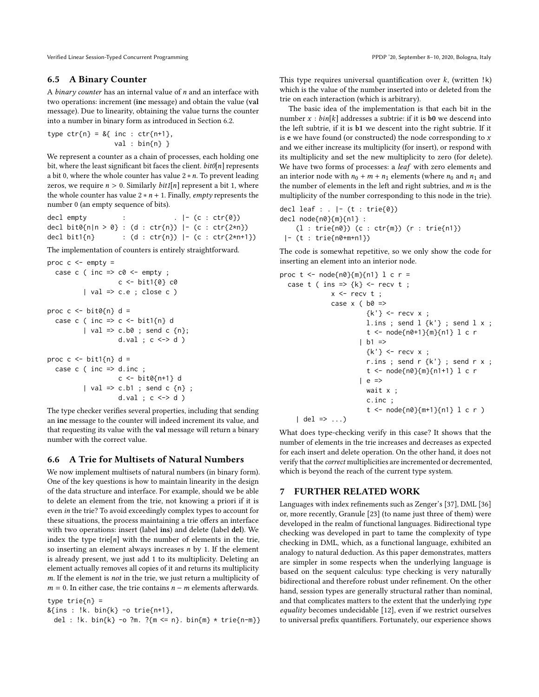#### 6.5 A Binary Counter

A binary counter has an internal value of  $n$  and an interface with two operations: increment (inc message) and obtain the value (val message). Due to linearity, obtaining the value turns the counter into a number in binary form as introduced in Section [6.2.](#page-9-3)

type  $ctr{n} = 8{$  inc :  $ctr{n+1}$ , val : bin{n} }

We represent a counter as a chain of processes, each holding one bit, where the least significant bit faces the client.  $bit0[n]$  represents a bit 0, where the whole counter has value  $2 * n$ . To prevent leading zeros, we require  $n > 0$ . Similarly *bit1*[n] represent a bit 1, where the whole counter has value  $2 * n + 1$ . Finally, *empty* represents the number 0 (an empty sequence of bits).

decl empty : . |- (c : ctr{0}) decl bit0{n|n > 0} : (d : ctr{n}) |- (c : ctr{2\*n}) decl bit1{n} : (d : ctr{n}) |- (c : ctr{2\*n+1})

The implementation of counters is entirely straightforward.

```
proc c \le - empty =
  case c ( inc \Rightarrow c0 \leq empty ;
                     c <- bit1{0} c0
           | val \Rightarrow c.e ; close c )proc c \le - \text{bit0}{n} d =
  case c ( inc => c <- bit1{n} d
           | val => c.b0 ; send c \{n\};
                     d.val ; c \leq b d )
proc c \le - \text{bit1}{n} d =case c ( inc \Rightarrow d.inc ;
                     c <- bit0{n+1} d
           | val => c.b1 ; send c {n} ;
                     d.val ; c \leq b d )
```
The type checker verifies several properties, including that sending an inc message to the counter will indeed increment its value, and that requesting its value with the val message will return a binary number with the correct value.

# <span id="page-12-1"></span>6.6 A Trie for Multisets of Natural Numbers

We now implement multisets of natural numbers (in binary form). One of the key questions is how to maintain linearity in the design of the data structure and interface. For example, should we be able to delete an element from the trie, not knowing a priori if it is even in the trie? To avoid exceedingly complex types to account for these situations, the process maintaining a trie offers an interface with two operations: insert (label ins) and delete (label del). We index the type trie[n] with the number of elements in the trie, so inserting an element always increases  $n$  by 1. If the element is already present, we just add 1 to its multiplicity. Deleting an element actually removes all copies of it and returns its multiplicity m. If the element is not in the trie, we just return a multiplicity of  $m = 0$ . In either case, the trie contains  $n - m$  elements afterwards.

```
type \text{trie}\{\text{n}\} =
```

```
&{ins : !k. bin{k} -o trie{n+1},
```

```
del : !k. bin{k} -o ?m. ?{m <= n}. bin{m} * trie{n-m}}
```
This type requires universal quantification over  $k$ , (written  $!k$ ) which is the value of the number inserted into or deleted from the trie on each interaction (which is arbitrary).

The basic idea of the implementation is that each bit in the number  $x : bin[k]$  addresses a subtrie: if it is **b0** we descend into the left subtrie, if it is b1 we descent into the right subtrie. If it is  $e$  we have found (or constructed) the node corresponding to  $x$ and we either increase its multiplicity (for insert), or respond with its multiplicity and set the new multiplicity to zero (for delete). We have two forms of processes: a leaf with zero elements and an interior node with  $n_0 + m + n_1$  elements (where  $n_0$  and  $n_1$  and the number of elements in the left and right subtries, and  $m$  is the multiplicity of the number corresponding to this node in the trie).

```
decl leaf : . |- (t : trie{0})
decl node{n0}{m}{n1} :
     (1 : \text{trie} \{n0\}) (c : \text{ctr} \{m\}) (r : \text{trie} \{n1\})|- (t : trie{n0+m+n1})
```
The code is somewhat repetitive, so we only show the code for inserting an element into an interior node.

```
proc t < - node{n0}{m}{n1} l c r =
  case t ( ins => \{k\} <- recv t;
              x \le - recv t;
              case x ( b0 \Rightarrow{k' } < - recv x ;
                        l.ins ; send l {k'} ; send l x ;
                        t <- node{n0+1}{m}{n1} l c r
                      | b1 \Rightarrow\{k'\} <- recv x ;
                        r.ins ; send r \{k'\} ; send r x ;
                        t <- node{n0}{m}{n1+1} l c r
                      | e =>
                        wait x ;
                        c.inc ;
                        t <- node{n0}{m+1}{n1} l c r )
    | del => ...)
```
What does type-checking verify in this case? It shows that the number of elements in the trie increases and decreases as expected for each insert and delete operation. On the other hand, it does not verify that the correct multiplicities are incremented or decremented, which is beyond the reach of the current type system.

# <span id="page-12-0"></span>7 FURTHER RELATED WORK

Languages with index refinements such as Zenger's [\[37\]](#page-14-11), DML [\[36\]](#page-14-12) or, more recently, Granule [\[23\]](#page-14-13) (to name just three of them) were developed in the realm of functional languages. Bidirectional type checking was developed in part to tame the complexity of type checking in DML, which, as a functional language, exhibited an analogy to natural deduction. As this paper demonstrates, matters are simpler in some respects when the underlying language is based on the sequent calculus: type checking is very naturally bidirectional and therefore robust under refinement. On the other hand, session types are generally structural rather than nominal, and that complicates matters to the extent that the underlying type equality becomes undecidable [\[12\]](#page-13-5), even if we restrict ourselves to universal prefix quantifiers. Fortunately, our experience shows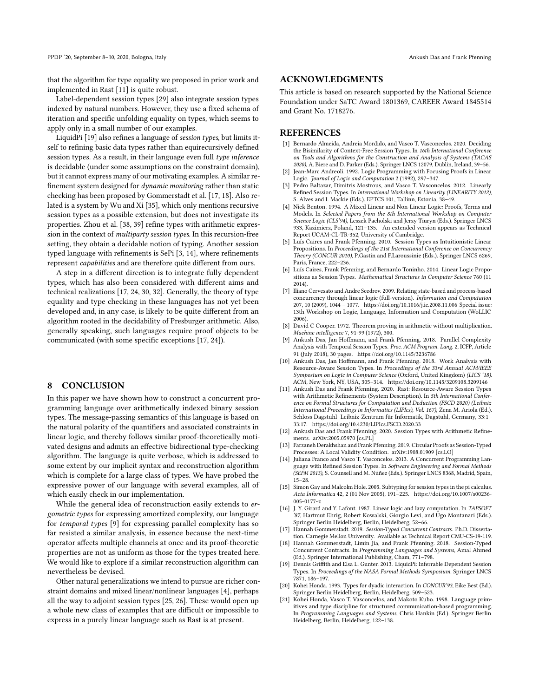that the algorithm for type equality we proposed in prior work and implemented in Rast [\[11\]](#page-13-7) is quite robust.

Label-dependent session types [\[29\]](#page-14-5) also integrate session types indexed by natural numbers. However, they use a fixed schema of iteration and specific unfolding equality on types, which seems to apply only in a small number of our examples.

LiquidPi [\[19\]](#page-13-16) also refines a language of session types, but limits itself to refining basic data types rather than equirecursively defined session types. As a result, in their language even full type inference is decidable (under some assumptions on the constraint domain), but it cannot express many of our motivating examples. A similar refinement system designed for dynamic monitoring rather than static checking has been proposed by Gommerstadt et al. [\[17,](#page-13-4) [18\]](#page-13-17). Also related is a system by Wu and Xi [\[35\]](#page-14-14), which only mentions recursive session types as a possible extension, but does not investigate its properties. Zhou et al. [\[38,](#page-14-15) [39\]](#page-14-16) refine types with arithmetic expression in the context of multiparty session types. In this recursion-free setting, they obtain a decidable notion of typing. Another session typed language with refinements is SePi [\[3,](#page-13-18) [14\]](#page-13-19), where refinements represent capabilities and are therefore quite different from ours.

A step in a different direction is to integrate fully dependent types, which has also been considered with different aims and technical realizations [\[17,](#page-13-4) [24,](#page-14-6) [30,](#page-14-7) [32\]](#page-14-17). Generally, the theory of type equality and type checking in these languages has not yet been developed and, in any case, is likely to be quite different from an algorithm rooted in the decidability of Presburger arithmetic. Also, generally speaking, such languages require proof objects to be communicated (with some specific exceptions [\[17,](#page-13-4) [24\]](#page-14-6)).

#### <span id="page-13-10"></span>8 CONCLUSION

In this paper we have shown how to construct a concurrent programming language over arithmetically indexed binary session types. The message-passing semantics of this language is based on the natural polarity of the quantifiers and associated constraints in linear logic, and thereby follows similar proof-theoretically motivated designs and admits an effective bidirectional type-checking algorithm. The language is quite verbose, which is addressed to some extent by our implicit syntax and reconstruction algorithm which is complete for a large class of types. We have probed the expressive power of our language with several examples, all of which easily check in our implementation.

While the general idea of reconstruction easily extends to ergometric types for expressing amortized complexity, our language for temporal types [\[9\]](#page-13-9) for expressing parallel complexity has so far resisted a similar analysis, in essence because the next-time operator affects multiple channels at once and its proof-theoretic properties are not as uniform as those for the types treated here. We would like to explore if a similar reconstruction algorithm can nevertheless be devised.

Other natural generalizations we intend to pursue are richer constraint domains and mixed linear/nonlinear languages [\[4\]](#page-13-20), perhaps all the way to adjoint session types [\[25,](#page-14-10) [26\]](#page-14-18). These would open up a whole new class of examples that are difficult or impossible to express in a purely linear language such as Rast is at present.

#### ACKNOWLEDGMENTS

This article is based on research supported by the National Science Foundation under SaTC Award 1801369, CAREER Award 1845514 and Grant No. 1718276.

#### **REFERENCES**

- <span id="page-13-3"></span>[1] Bernardo Almeida, Andreia Mordido, and Vasco T. Vasconcelos. 2020. Deciding the Bisimilarity of Context-Free Session Types. In 16th International Conference on Tools and Algorithms for the Construction and Analysis of Systems (TACAS 2020), A. Biere and D. Parker (Eds.). Springer LNCS 12079, Dublin, Ireland, 39–56.
- <span id="page-13-6"></span>[2] Jean-Marc Andreoli. 1992. Logic Programming with Focusing Proofs in Linear Logic. Journal of Logic and Computation 2 (1992), 297–347.
- <span id="page-13-18"></span>[3] Pedro Baltazar, Dimitris Mostrous, and Vasco T. Vasconcelos. 2012. Linearly Refined Session Types. In International Workshop on Linearity (LINEARITY 2012), S. Alves and I. Mackie (Eds.). EPTCS 101, Tallinn, Estonia, 38–49.
- <span id="page-13-20"></span>[4] Nick Benton. 1994. A Mixed Linear and Non-Linear Logic: Proofs, Terms and Models. In Selected Papers from the 8th International Workshop on Computer Science Logic (CLS'94), Leszek Pacholski and Jerzy Tiuryn (Eds.). Springer LNCS 933, Kazimierz, Poland, 121–135. An extended version appears as Technical Report UCAM-CL-TR-352, University of Cambridge.
- <span id="page-13-1"></span>Luís Caires and Frank Pfenning. 2010. Session Types as Intuitionistic Linear Propositions. In Proceedings of the 21st International Conference on Concurrency Theory (CONCUR 2010), P.Gastin and F.Laroussinie (Eds.). Springer LNCS 6269, Paris, France, 222–236.
- <span id="page-13-2"></span>[6] Luís Caires, Frank Pfenning, and Bernardo Toninho. 2014. Linear Logic Propositions as Session Types. Mathematical Structures in Computer Science 760 (11 2014).
- <span id="page-13-12"></span>[7] Iliano Cervesato and Andre Scedrov. 2009. Relating state-based and process-based concurrency through linear logic (full-version). Information and Computation 207, 10 (2009), 1044 – 1077.<https://doi.org/10.1016/j.ic.2008.11.006> Special issue: 13th Workshop on Logic, Language, Information and Computation (WoLLIC 2006).
- <span id="page-13-14"></span>[8] David C Cooper. 1972. Theorem proving in arithmetic without multiplication. Machine intelligence 7, 91-99 (1972), 300.
- <span id="page-13-9"></span>Ankush Das, Jan Hoffmann, and Frank Pfenning. 2018. Parallel Complexity Analysis with Temporal Session Types. Proc. ACM Program. Lang. 2, ICFP, Article 91 (July 2018), 30 pages.<https://doi.org/10.1145/3236786>
- <span id="page-13-8"></span>[10] Ankush Das, Jan Hoffmann, and Frank Pfenning. 2018. Work Analysis with Resource-Aware Session Types. In Proceedings of the 33rd Annual ACM/IEEE Symposium on Logic in Computer Science (Oxford, United Kingdom) (LICS '18). ACM, New York, NY, USA, 305–314.<https://doi.org/10.1145/3209108.3209146>
- <span id="page-13-7"></span>[11] Ankush Das and Frank Pfenning. 2020. Rast: Resource-Aware Session Types with Arithmetic Refinements (System Description). In 5th International Conference on Formal Structures for Computation and Deduction (FSCD 2020) (Leibniz International Proceedings in Informatics (LIPIcs), Vol. 167), Zena M. Ariola (Ed.). Schloss Dagstuhl–Leibniz-Zentrum für Informatik, Dagstuhl, Germany, 33:1– 33:17.<https://doi.org/10.4230/LIPIcs.FSCD.2020.33>
- <span id="page-13-5"></span>[12] Ankush Das and Frank Pfenning. 2020. Session Types with Arithmetic Refinements. arXiv[:2005.05970](https://arxiv.org/abs/2005.05970) [cs.PL]
- <span id="page-13-15"></span>[13] Farzaneh Derakhshan and Frank Pfenning. 2019. Circular Proofs as Session-Typed Processes: A Local Validity Condition. arXiv[:1908.01909](https://arxiv.org/abs/1908.01909) [cs.LO]
- <span id="page-13-19"></span>[14] Juliana Franco and Vasco T. Vasconcelos. 2013. A Concurrent Programming Language with Refined Session Types. In Software Engineering and Formal Methods (SEFM 2013), S. Counsell and M. Núñez (Eds.). Springer LNCS 8368, Madrid, Spain, 15–28.
- <span id="page-13-13"></span>[15] Simon Gay and Malcolm Hole. 2005. Subtyping for session types in the pi calculus. Acta Informatica 42, 2 (01 Nov 2005), 191–225. [https://doi.org/10.1007/s00236-](https://doi.org/10.1007/s00236-005-0177-z) [005-0177-z](https://doi.org/10.1007/s00236-005-0177-z)
- <span id="page-13-11"></span>[16] J. Y. Girard and Y. Lafont. 1987. Linear logic and lazy computation. In TAPSOFT '87, Hartmut Ehrig, Robert Kowalski, Giorgio Levi, and Ugo Montanari (Eds.). Springer Berlin Heidelberg, Berlin, Heidelberg, 52–66.
- <span id="page-13-4"></span>[17] Hannah Gommerstadt. 2019. Session-Typed Concurrent Contracts. Ph.D. Dissertation. Carnegie Mellon University. Available as Technical Report CMU-CS-19-119.
- <span id="page-13-17"></span>[18] Hannah Gommerstadt, Limin Jia, and Frank Pfenning. 2018. Session-Typed Concurrent Contracts. In Programming Languages and Systems, Amal Ahmed (Ed.). Springer International Publishing, Cham, 771–798.
- <span id="page-13-16"></span>[19] Dennis Griffith and Elsa L. Gunter. 2013. LiquidPi: Inferrable Dependent Session Types. In Proceedings of the NASA Formal Methods Symposium. Springer LNCS 7871, 186–197.
- <span id="page-13-0"></span>[20] Kohei Honda. 1993. Types for dyadic interaction. In CONCUR'93, Eike Best (Ed.). Springer Berlin Heidelberg, Berlin, Heidelberg, 509–523.
- Kohei Honda, Vasco T. Vasconcelos, and Makoto Kubo. 1998. Language primitives and type discipline for structured communication-based programming. In Programming Languages and Systems, Chris Hankin (Ed.). Springer Berlin Heidelberg, Berlin, Heidelberg, 122–138.